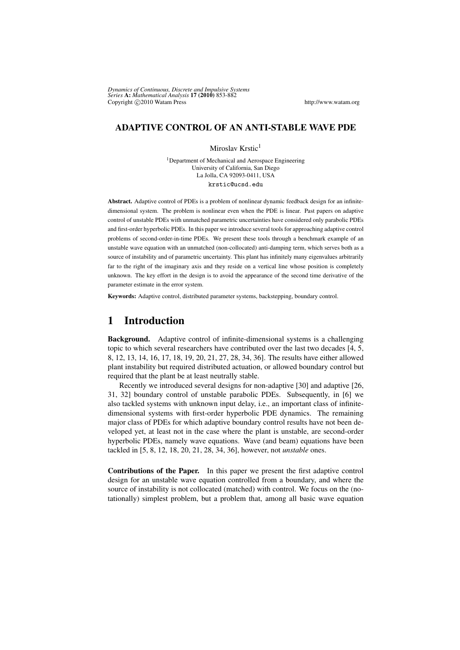*Dynamics of Continuous, Discrete and Impulsive Systems Series* A: *Mathematical Analysis* 17 (2010) 853-882 Copyright  $\bigcirc$  2010 Watam Press http://www.watam.org

#### ADAPTIVE CONTROL OF AN ANTI-STABLE WAVE PDE

Miroslav Krstic<sup>1</sup>

<sup>1</sup>Department of Mechanical and Aerospace Engineering University of California, San Diego La Jolla, CA 92093-0411, USA krstic@ucsd.edu

Abstract. Adaptive control of PDEs is a problem of nonlinear dynamic feedback design for an infinitedimensional system. The problem is nonlinear even when the PDE is linear. Past papers on adaptive control of unstable PDEs with unmatched parametric uncertainties have considered only parabolic PDEs and first-order hyperbolic PDEs. In this paper we introduce several tools for approaching adaptive control problems of second-order-in-time PDEs. We present these tools through a benchmark example of an unstable wave equation with an unmatched (non-collocated) anti-damping term, which serves both as a source of instability and of parametric uncertainty. This plant has infinitely many eigenvalues arbitrarily far to the right of the imaginary axis and they reside on a vertical line whose position is completely unknown. The key effort in the design is to avoid the appearance of the second time derivative of the parameter estimate in the error system.

Keywords: Adaptive control, distributed parameter systems, backstepping, boundary control.

### 1 Introduction

Background. Adaptive control of infinite-dimensional systems is a challenging topic to which several researchers have contributed over the last two decades [4, 5, 8, 12, 13, 14, 16, 17, 18, 19, 20, 21, 27, 28, 34, 36]. The results have either allowed plant instability but required distributed actuation, or allowed boundary control but required that the plant be at least neutrally stable.

Recently we introduced several designs for non-adaptive [30] and adaptive [26, 31, 32] boundary control of unstable parabolic PDEs. Subsequently, in [6] we also tackled systems with unknown input delay, i.e., an important class of infinitedimensional systems with first-order hyperbolic PDE dynamics. The remaining major class of PDEs for which adaptive boundary control results have not been developed yet, at least not in the case where the plant is unstable, are second-order hyperbolic PDEs, namely wave equations. Wave (and beam) equations have been tackled in [5, 8, 12, 18, 20, 21, 28, 34, 36], however, not *unstable* ones.

Contributions of the Paper. In this paper we present the first adaptive control design for an unstable wave equation controlled from a boundary, and where the source of instability is not collocated (matched) with control. We focus on the (notationally) simplest problem, but a problem that, among all basic wave equation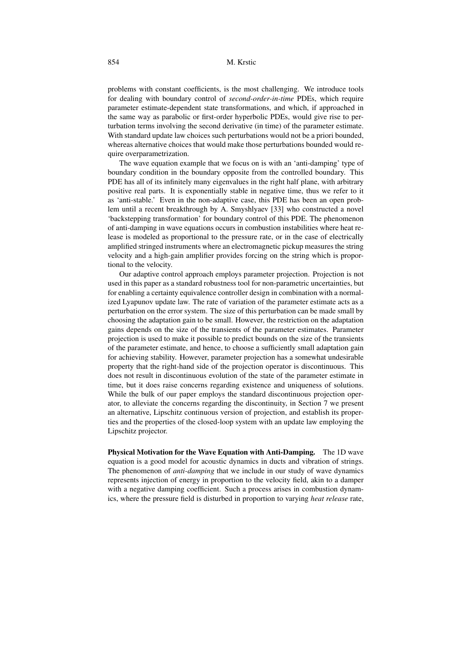problems with constant coefficients, is the most challenging. We introduce tools for dealing with boundary control of *second-order-in-time* PDEs, which require parameter estimate-dependent state transformations, and which, if approached in the same way as parabolic or first-order hyperbolic PDEs, would give rise to perturbation terms involving the second derivative (in time) of the parameter estimate. With standard update law choices such perturbations would not be a priori bounded, whereas alternative choices that would make those perturbations bounded would require overparametrization.

The wave equation example that we focus on is with an 'anti-damping' type of boundary condition in the boundary opposite from the controlled boundary. This PDE has all of its infinitely many eigenvalues in the right half plane, with arbitrary positive real parts. It is exponentially stable in negative time, thus we refer to it as 'anti-stable.' Even in the non-adaptive case, this PDE has been an open problem until a recent breakthrough by A. Smyshlyaev [33] who constructed a novel 'backstepping transformation' for boundary control of this PDE. The phenomenon of anti-damping in wave equations occurs in combustion instabilities where heat release is modeled as proportional to the pressure rate, or in the case of electrically amplified stringed instruments where an electromagnetic pickup measures the string velocity and a high-gain amplifier provides forcing on the string which is proportional to the velocity.

Our adaptive control approach employs parameter projection. Projection is not used in this paper as a standard robustness tool for non-parametric uncertainties, but for enabling a certainty equivalence controller design in combination with a normalized Lyapunov update law. The rate of variation of the parameter estimate acts as a perturbation on the error system. The size of this perturbation can be made small by choosing the adaptation gain to be small. However, the restriction on the adaptation gains depends on the size of the transients of the parameter estimates. Parameter projection is used to make it possible to predict bounds on the size of the transients of the parameter estimate, and hence, to choose a sufficiently small adaptation gain for achieving stability. However, parameter projection has a somewhat undesirable property that the right-hand side of the projection operator is discontinuous. This does not result in discontinuous evolution of the state of the parameter estimate in time, but it does raise concerns regarding existence and uniqueness of solutions. While the bulk of our paper employs the standard discontinuous projection operator, to alleviate the concerns regarding the discontinuity, in Section 7 we present an alternative, Lipschitz continuous version of projection, and establish its properties and the properties of the closed-loop system with an update law employing the Lipschitz projector.

Physical Motivation for the Wave Equation with Anti-Damping. The 1D wave equation is a good model for acoustic dynamics in ducts and vibration of strings. The phenomenon of *anti-damping* that we include in our study of wave dynamics represents injection of energy in proportion to the velocity field, akin to a damper with a negative damping coefficient. Such a process arises in combustion dynamics, where the pressure field is disturbed in proportion to varying *heat release* rate,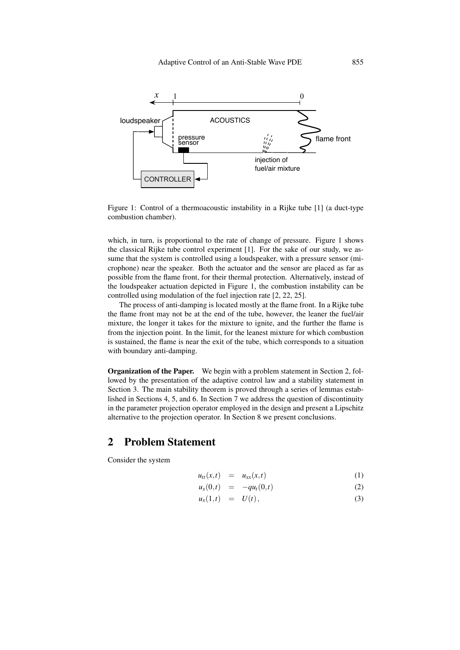

Figure 1: Control of a thermoacoustic instability in a Rijke tube [1] (a duct-type combustion chamber).

which, in turn, is proportional to the rate of change of pressure. Figure 1 shows the classical Rijke tube control experiment [1]. For the sake of our study, we assume that the system is controlled using a loudspeaker, with a pressure sensor (microphone) near the speaker. Both the actuator and the sensor are placed as far as possible from the flame front, for their thermal protection. Alternatively, instead of the loudspeaker actuation depicted in Figure 1, the combustion instability can be controlled using modulation of the fuel injection rate [2, 22, 25].

The process of anti-damping is located mostly at the flame front. In a Rijke tube the flame front may not be at the end of the tube, however, the leaner the fuel/air mixture, the longer it takes for the mixture to ignite, and the further the flame is from the injection point. In the limit, for the leanest mixture for which combustion is sustained, the flame is near the exit of the tube, which corresponds to a situation with boundary anti-damping.

Organization of the Paper. We begin with a problem statement in Section 2, followed by the presentation of the adaptive control law and a stability statement in Section 3. The main stability theorem is proved through a series of lemmas established in Sections 4, 5, and 6. In Section 7 we address the question of discontinuity in the parameter projection operator employed in the design and present a Lipschitz alternative to the projection operator. In Section 8 we present conclusions.

### 2 Problem Statement

Consider the system

$$
u_{tt}(x,t) = u_{xx}(x,t) \tag{1}
$$

$$
u_x(0,t) = -qu_t(0,t) \tag{2}
$$

$$
u_x(1,t) = U(t), \qquad (3)
$$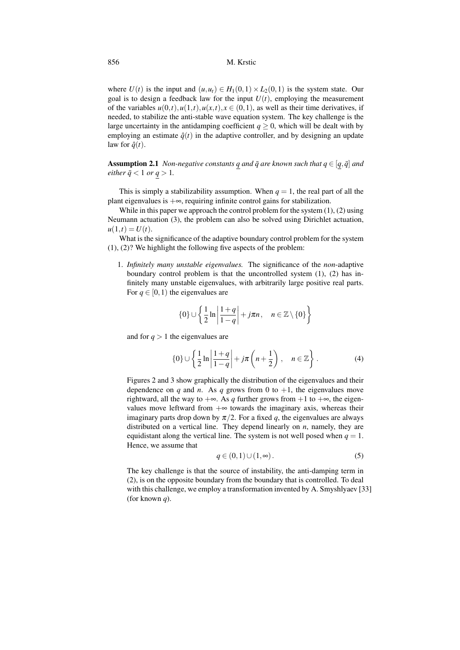where  $U(t)$  is the input and  $(u, u_t) \in H_1(0, 1) \times L_2(0, 1)$  is the system state. Our goal is to design a feedback law for the input  $U(t)$ , employing the measurement of the variables  $u(0,t), u(1,t), u(x,t), x \in (0,1)$ , as well as their time derivatives, if needed, to stabilize the anti-stable wave equation system. The key challenge is the large uncertainty in the antidamping coefficient  $q \ge 0$ , which will be dealt with by employing an estimate  $\hat{q}(t)$  in the adaptive controller, and by designing an update law for  $\hat{q}(t)$ .

**Assumption 2.1** *Non-negative constants q and*  $\bar{q}$  *are known such that*  $q \in [q, \bar{q}]$  *and either*  $\bar{q}$  < 1 *or*  $q$  > 1*.* 

This is simply a stabilizability assumption. When  $q = 1$ , the real part of all the plant eigenvalues is  $+\infty$ , requiring infinite control gains for stabilization.

While in this paper we approach the control problem for the system  $(1)$ ,  $(2)$  using Neumann actuation (3), the problem can also be solved using Dirichlet actuation,  $u(1,t) = U(t)$ .

What is the significance of the adaptive boundary control problem for the system (1), (2)? We highlight the following five aspects of the problem:

1. *Infinitely many unstable eigenvalues.* The significance of the *non*-adaptive boundary control problem is that the uncontrolled system (1), (2) has infinitely many unstable eigenvalues, with arbitrarily large positive real parts. For  $q \in [0, 1)$  the eigenvalues are

$$
\{0\} \cup \left\{\frac{1}{2}\ln\left|\frac{1+q}{1-q}\right|+j\pi n, \quad n \in \mathbb{Z}\setminus\{0\}\right\}
$$

and for  $q > 1$  the eigenvalues are

$$
\{0\} \cup \left\{\frac{1}{2}\ln\left|\frac{1+q}{1-q}\right| + j\pi\left(n+\frac{1}{2}\right), \quad n \in \mathbb{Z}\right\}.
$$
 (4)

Figures 2 and 3 show graphically the distribution of the eigenvalues and their dependence on *q* and *n*. As *q* grows from 0 to  $+1$ , the eigenvalues move rightward, all the way to +∞. As *q* further grows from +1 to +∞, the eigenvalues move leftward from  $+\infty$  towards the imaginary axis, whereas their imaginary parts drop down by  $\pi/2$ . For a fixed q, the eigenvalues are always distributed on a vertical line. They depend linearly on *n*, namely, they are equidistant along the vertical line. The system is not well posed when  $q = 1$ . Hence, we assume that

$$
q \in (0,1) \cup (1,\infty). \tag{5}
$$

The key challenge is that the source of instability, the anti-damping term in (2), is on the opposite boundary from the boundary that is controlled. To deal with this challenge, we employ a transformation invented by A. Smyshlyaev [33] (for known *q*).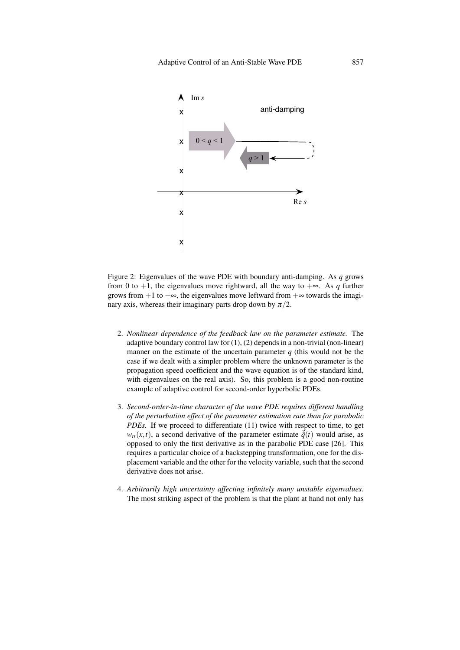

Figure 2: Eigenvalues of the wave PDE with boundary anti-damping. As *q* grows from 0 to +1, the eigenvalues move rightward, all the way to  $+\infty$ . As *q* further grows from  $+1$  to  $+\infty$ , the eigenvalues move leftward from  $+\infty$  towards the imaginary axis, whereas their imaginary parts drop down by  $\pi/2$ .

- 2. *Nonlinear dependence of the feedback law on the parameter estimate.* The adaptive boundary control law for (1), (2) depends in a non-trivial (non-linear) manner on the estimate of the uncertain parameter  $q$  (this would not be the case if we dealt with a simpler problem where the unknown parameter is the propagation speed coefficient and the wave equation is of the standard kind, with eigenvalues on the real axis). So, this problem is a good non-routine example of adaptive control for second-order hyperbolic PDEs.
- 3. *Second-order-in-time character of the wave PDE requires different handling of the perturbation effect of the parameter estimation rate than for parabolic PDEs.* If we proceed to differentiate (11) twice with respect to time, to get  $w_{tt}(x,t)$ , a second derivative of the parameter estimate  $\ddot{q}(t)$  would arise, as opposed to only the first derivative as in the parabolic PDE case [26]. This requires a particular choice of a backstepping transformation, one for the displacement variable and the other for the velocity variable, such that the second derivative does not arise.
- 4. *Arbitrarily high uncertainty affecting infinitely many unstable eigenvalues.* The most striking aspect of the problem is that the plant at hand not only has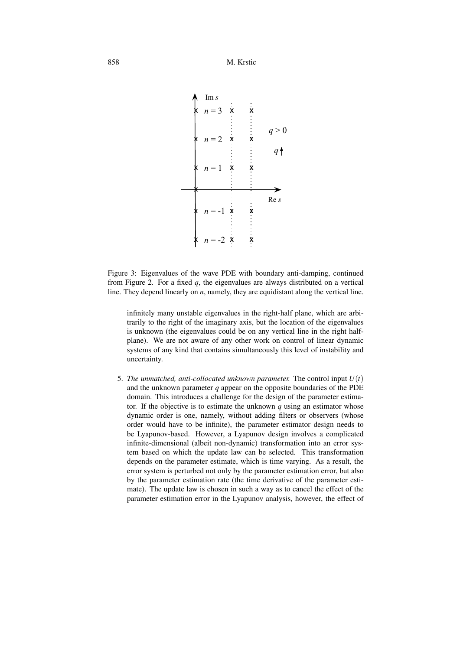

Figure 3: Eigenvalues of the wave PDE with boundary anti-damping, continued from Figure 2. For a fixed *q*, the eigenvalues are always distributed on a vertical line. They depend linearly on *n*, namely, they are equidistant along the vertical line.

infinitely many unstable eigenvalues in the right-half plane, which are arbitrarily to the right of the imaginary axis, but the location of the eigenvalues is unknown (the eigenvalues could be on any vertical line in the right halfplane). We are not aware of any other work on control of linear dynamic systems of any kind that contains simultaneously this level of instability and uncertainty.

5. *The unmatched, anti-collocated unknown parameter.* The control input  $U(t)$ and the unknown parameter *q* appear on the opposite boundaries of the PDE domain. This introduces a challenge for the design of the parameter estimator. If the objective is to estimate the unknown  $q$  using an estimator whose dynamic order is one, namely, without adding filters or observers (whose order would have to be infinite), the parameter estimator design needs to be Lyapunov-based. However, a Lyapunov design involves a complicated infinite-dimensional (albeit non-dynamic) transformation into an error system based on which the update law can be selected. This transformation depends on the parameter estimate, which is time varying. As a result, the error system is perturbed not only by the parameter estimation error, but also by the parameter estimation rate (the time derivative of the parameter estimate). The update law is chosen in such a way as to cancel the effect of the parameter estimation error in the Lyapunov analysis, however, the effect of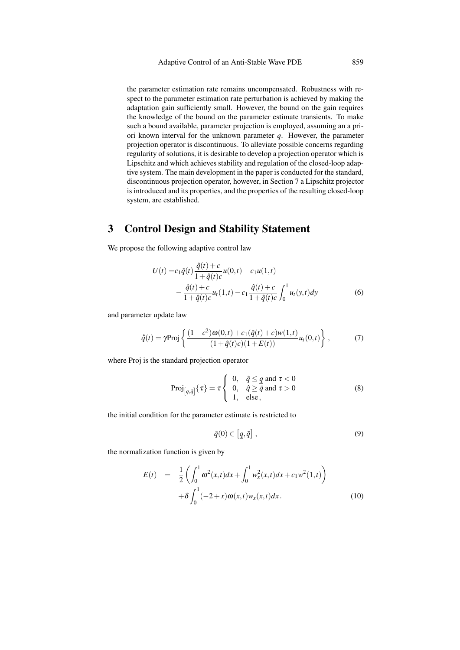the parameter estimation rate remains uncompensated. Robustness with respect to the parameter estimation rate perturbation is achieved by making the adaptation gain sufficiently small. However, the bound on the gain requires the knowledge of the bound on the parameter estimate transients. To make such a bound available, parameter projection is employed, assuming an a priori known interval for the unknown parameter *q*. However, the parameter projection operator is discontinuous. To alleviate possible concerns regarding regularity of solutions, it is desirable to develop a projection operator which is Lipschitz and which achieves stability and regulation of the closed-loop adaptive system. The main development in the paper is conducted for the standard, discontinuous projection operator, however, in Section 7 a Lipschitz projector is introduced and its properties, and the properties of the resulting closed-loop system, are established.

## 3 Control Design and Stability Statement

We propose the following adaptive control law

$$
U(t) = c_1 \hat{q}(t) \frac{\hat{q}(t) + c}{1 + \hat{q}(t)c} u(0, t) - c_1 u(1, t)
$$
  
 
$$
- \frac{\hat{q}(t) + c}{1 + \hat{q}(t)c} u_1(1, t) - c_1 \frac{\hat{q}(t) + c}{1 + \hat{q}(t)c} \int_0^1 u_1(y, t) dy
$$
(6)

and parameter update law

$$
\dot{\hat{q}}(t) = \gamma \text{Proj}\left\{ \frac{(1-c^2)\omega(0,t) + c_1(\hat{q}(t) + c)w(1,t)}{(1+\hat{q}(t)c)(1+E(t))} u_t(0,t) \right\},\tag{7}
$$

where Proj is the standard projection operator

$$
Proj_{[q,\bar{q}]}{\tau} = \tau \begin{cases} 0, & \hat{q} \leq q \text{ and } \tau < 0 \\ 0, & \hat{q} \geq \bar{q} \text{ and } \tau > 0 \\ 1, & \text{else,} \end{cases}
$$
(8)

the initial condition for the parameter estimate is restricted to

$$
\hat{q}(0) \in [q, \bar{q}], \qquad (9)
$$

the normalization function is given by

$$
E(t) = \frac{1}{2} \left( \int_0^1 \omega^2(x,t) dx + \int_0^1 w_x^2(x,t) dx + c_1 w^2(1,t) \right) + \delta \int_0^1 (-2+x) \omega(x,t) w_x(x,t) dx.
$$
 (10)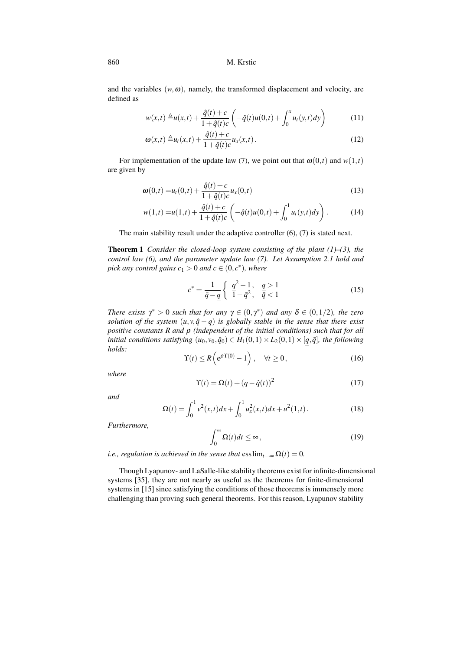and the variables  $(w, \omega)$ , namely, the transformed displacement and velocity, are defined as

$$
w(x,t) \triangleq u(x,t) + \frac{\hat{q}(t) + c}{1 + \hat{q}(t)c} \left( -\hat{q}(t)u(0,t) + \int_0^x u_t(y,t)dy \right) \tag{11}
$$

$$
\omega(x,t) \triangleq u_t(x,t) + \frac{\hat{q}(t) + c}{1 + \hat{q}(t)c} u_x(x,t).
$$
\n(12)

For implementation of the update law (7), we point out that  $\omega(0,t)$  and  $w(1,t)$ are given by

$$
\omega(0,t) = u_t(0,t) + \frac{\hat{q}(t) + c}{1 + \hat{q}(t)c} u_x(0,t)
$$
\n(13)

$$
w(1,t) = u(1,t) + \frac{\hat{q}(t) + c}{1 + \hat{q}(t)c} \left( -\hat{q}(t)u(0,t) + \int_0^1 u_t(y,t)dy \right).
$$
 (14)

The main stability result under the adaptive controller (6), (7) is stated next.

Theorem 1 *Consider the closed-loop system consisting of the plant (1)–(3), the control law (6), and the parameter update law (7). Let Assumption 2.1 hold and pick any control gains*  $c_1 > 0$  *and*  $c \in (0, c^*)$ *, where* 

$$
c^* = \frac{1}{\bar{q} - \underline{q}} \left\{ \begin{array}{ll} \frac{q^2 - 1}{1 - \bar{q}^2}, & \frac{q > 1}{\bar{q} < 1} \\ \end{array} \right. \tag{15}
$$

*There exists*  $\gamma^* > 0$  *such that for any*  $\gamma \in (0, \gamma^*)$  *and any*  $\delta \in (0, 1/2)$ *, the zero solution of the system*  $(u, v, \hat{q} - q)$  *is globally stable in the sense that there exist positive constants R and* ρ *(independent of the initial conditions) such that for all initial conditions satisfying*  $(u_0, v_0, \hat{q}_0) \in H_1(0,1) \times L_2(0,1) \times [q, \bar{q}]$ *, the following holds:*

$$
\Upsilon(t) \le R\left(e^{\rho \Upsilon(0)} - 1\right), \quad \forall t \ge 0,
$$
\n(16)

*where*

$$
\Upsilon(t) = \Omega(t) + (q - \hat{q}(t))^2
$$
\n(17)

*and*

$$
\Omega(t) = \int_0^1 v^2(x,t)dx + \int_0^1 u_x^2(x,t)dx + u^2(1,t).
$$
 (18)

*Furthermore,*

$$
\int_0^\infty \Omega(t)dt \le \infty,\tag{19}
$$

*i.e., regulation is achieved in the sense that*  $\text{ess}\lim_{t\to\infty} \Omega(t) = 0$ .

Though Lyapunov- and LaSalle-like stability theorems exist for infinite-dimensional systems [35], they are not nearly as useful as the theorems for finite-dimensional systems in [15] since satisfying the conditions of those theorems is immensely more challenging than proving such general theorems. For this reason, Lyapunov stability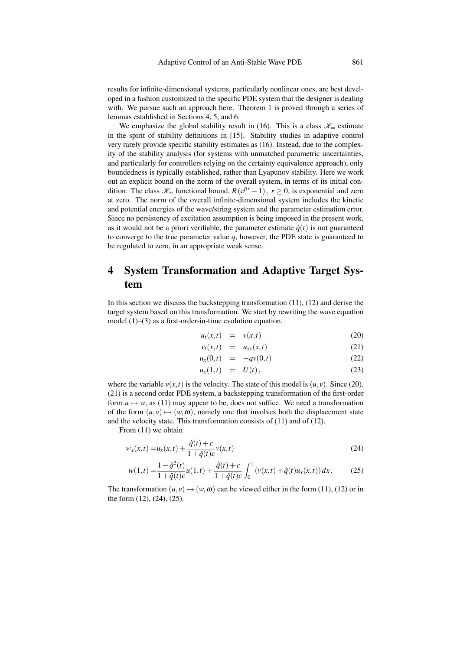results for infinite-dimensional systems, particularly nonlinear ones, are best developed in a fashion customized to the specific PDE system that the designer is dealing with. We pursue such an approach here. Theorem 1 is proved through a series of lemmas established in Sections 4, 5, and 6.

We emphasize the global stability result in (16). This is a class  $\mathcal{K}_{\infty}$  estimate in the spirit of stability definitions in [15]. Stability studies in adaptive control very rarely provide specific stability estimates as (16). Instead, due to the complexity of the stability analysis (for systems with unmatched parametric uncertainties, and particularly for controllers relying on the certainty equivalence approach), only boundedness is typically established, rather than Lyapunov stability. Here we work out an explicit bound on the norm of the overall system, in terms of its initial condition. The class  $\mathcal{K}_{\infty}$  functional bound,  $R(e^{pr}-1)$ ,  $r \ge 0$ , is exponential and zero at zero. The norm of the overall infinite-dimensional system includes the kinetic and potential energies of the wave/string system and the parameter estimation error. Since no persistency of excitation assumption is being imposed in the present work, as it would not be a priori verifiable, the parameter estimate  $\hat{q}(t)$  is not guaranteed to converge to the true parameter value *q*, however, the PDE state is guaranteed to be regulated to zero, in an appropriate weak sense.

## 4 System Transformation and Adaptive Target System

In this section we discuss the backstepping transformation  $(11)$ ,  $(12)$  and derive the target system based on this transformation. We start by rewriting the wave equation model (1)–(3) as a first-order-in-time evolution equation,

$$
u_t(x,t) = v(x,t) \tag{20}
$$

$$
v_t(x,t) = u_{xx}(x,t) \tag{21}
$$

$$
u_x(0,t) = -qv(0,t) \qquad (22)
$$

$$
u_x(1,t) = U(t), \qquad (23)
$$

where the variable  $v(x,t)$  is the velocity. The state of this model is  $(u, v)$ . Since (20), (21) is a second order PDE system, a backstepping transformation of the first-order form  $u \mapsto w$ , as (11) may appear to be, does not suffice. We need a transformation of the form  $(u, v) \mapsto (w, \omega)$ , namely one that involves both the displacement state and the velocity state. This transformation consists of (11) and of (12).

From (11) we obtain

$$
w_x(x,t) = u_x(x,t) + \frac{\hat{q}(t) + c}{1 + \hat{q}(t)c}v(x,t)
$$
\n(24)

$$
w(1,t) = \frac{1 - \hat{q}^2(t)}{1 + \hat{q}(t)c}u(1,t) + \frac{\hat{q}(t) + c}{1 + \hat{q}(t)c} \int_0^1 \left(v(x,t) + \hat{q}(t)u_x(x,t)\right)dx.
$$
 (25)

The transformation  $(u, v) \mapsto (w, \omega)$  can be viewed either in the form (11), (12) or in the form (12), (24), (25).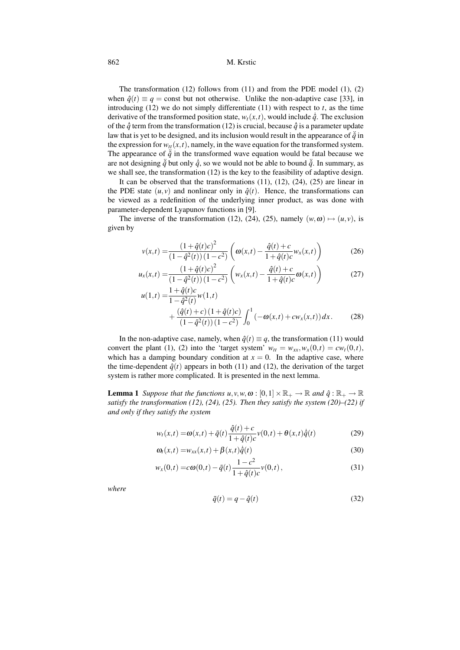The transformation (12) follows from (11) and from the PDE model (1), (2) when  $\hat{q}(t) \equiv q = \text{const}$  but not otherwise. Unlike the non-adaptive case [33], in introducing  $(12)$  we do not simply differentiate  $(11)$  with respect to *t*, as the time derivative of the transformed position state,  $w_t(x,t)$ , would include  $\dot{q}$ . The exclusion of the  $\hat{q}$  term from the transformation (12) is crucial, because  $\hat{q}$  is a parameter update law that is yet to be designed, and its inclusion would result in the appearance of  $\ddot{q}$  in the expression for  $w_{tt}(x,t)$ , namely, in the wave equation for the transformed system. The appearance of  $\ddot{q}$  in the transformed wave equation would be fatal because we are not designing  $\ddot{q}$  but only  $\dot{q}$ , so we would not be able to bound  $\ddot{q}$ . In summary, as we shall see, the transformation (12) is the key to the feasibility of adaptive design.

It can be observed that the transformations  $(11)$ ,  $(12)$ ,  $(24)$ ,  $(25)$  are linear in the PDE state  $(u, v)$  and nonlinear only in  $\hat{q}(t)$ . Hence, the transformations can be viewed as a redefinition of the underlying inner product, as was done with parameter-dependent Lyapunov functions in [9].

The inverse of the transformation (12), (24), (25), namely  $(w, \omega) \mapsto (u, v)$ , is given by

$$
v(x,t) = \frac{(1+\hat{q}(t)c)^2}{(1-\hat{q}^2(t))(1-c^2)} \left( \omega(x,t) - \frac{\hat{q}(t) + c}{1+\hat{q}(t)c} w_x(x,t) \right)
$$
(26)

$$
u_x(x,t) = \frac{(1+\hat{q}(t)c)^2}{(1-\hat{q}^2(t))(1-c^2)} \left(w_x(x,t) - \frac{\hat{q}(t)+c}{1+\hat{q}(t)c}\omega(x,t)\right)
$$
(27)

$$
u(1,t) = \frac{1+q(t)c}{1-\hat{q}^2(t)}w(1,t)
$$
  
+ 
$$
\frac{(\hat{q}(t)+c)(1+\hat{q}(t)c)}{(1-\hat{q}^2(t))(1-c^2)} \int_0^1 (-\omega(x,t)+cw_x(x,t)) dx.
$$
 (28)

In the non-adaptive case, namely, when  $\hat{q}(t) \equiv q$ , the transformation (11) would convert the plant (1), (2) into the 'target system'  $w_{tt} = w_{xx}, w_x(0,t) = cw_t(0,t)$ , which has a damping boundary condition at  $x = 0$ . In the adaptive case, where the time-dependent  $\hat{q}(t)$  appears in both (11) and (12), the derivation of the target system is rather more complicated. It is presented in the next lemma.

**Lemma 1** *Suppose that the functions*  $u, v, w, \omega : [0, 1] \times \mathbb{R}_+ \to \mathbb{R}$  *and*  $\hat{q}: \mathbb{R}_+ \to \mathbb{R}$ *satisfy the transformation (12), (24), (25). Then they satisfy the system (20)–(22) if and only if they satisfy the system*

$$
w_t(x,t) = \omega(x,t) + \tilde{q}(t)\frac{\hat{q}(t) + c}{1 + \hat{q}(t)c}v(0,t) + \theta(x,t)\dot{\hat{q}}(t)
$$
\n(29)

$$
\omega_t(x,t) = w_{xx}(x,t) + \beta(x,t)\dot{\hat{q}}(t)
$$
\n(30)

$$
w_x(0,t) = c\omega(0,t) - \tilde{q}(t)\frac{1-c^2}{1+\hat{q}(t)c}v(0,t),
$$
\n(31)

*where*

$$
\tilde{q}(t) = q - \hat{q}(t) \tag{32}
$$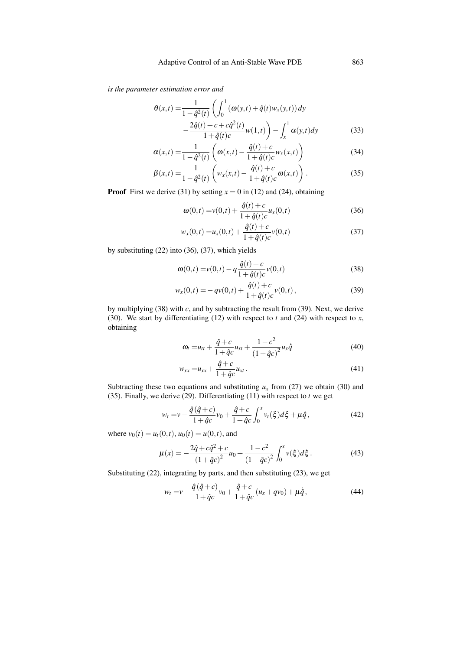*is the parameter estimation error and*

$$
\theta(x,t) = \frac{1}{1 - \hat{q}^2(t)} \left( \int_0^1 (\omega(y,t) + \hat{q}(t)w_x(y,t)) dy - \frac{2\hat{q}(t) + c + c\hat{q}^2(t)}{1 + \hat{q}(t)c} w(1,t) \right) - \int_x^1 \alpha(y,t) dy \tag{33}
$$

$$
\alpha(x,t) = \frac{1}{1 - \hat{q}^2(t)} \left( \omega(x,t) - \frac{\hat{q}(t) + c}{1 + \hat{q}(t)c} w_x(x,t) \right)
$$
(34)

$$
\beta(x,t) = \frac{1}{1 - \hat{q}^2(t)} \left( w_x(x,t) - \frac{\hat{q}(t) + c}{1 + \hat{q}(t)c} \omega(x,t) \right).
$$
 (35)

**Proof** First we derive (31) by setting  $x = 0$  in (12) and (24), obtaining

$$
\omega(0,t) = v(0,t) + \frac{\hat{q}(t) + c}{1 + \hat{q}(t)c} u_x(0,t)
$$
\n(36)

$$
w_x(0,t) = u_x(0,t) + \frac{\hat{q}(t) + c}{1 + \hat{q}(t)c}v(0,t)
$$
\n(37)

by substituting (22) into (36), (37), which yields

$$
\omega(0,t) = v(0,t) - q \frac{\hat{q}(t) + c}{1 + \hat{q}(t)c} v(0,t)
$$
\n(38)

$$
w_x(0,t) = -qv(0,t) + \frac{\hat{q}(t) + c}{1 + \hat{q}(t)c}v(0,t),
$$
\n(39)

by multiplying (38) with *c*, and by subtracting the result from (39). Next, we derive (30). We start by differentiating (12) with respect to *t* and (24) with respect to *x*, obtaining

$$
\omega_t = u_{tt} + \frac{\hat{q} + c}{1 + \hat{q}c} u_{xt} + \frac{1 - c^2}{(1 + \hat{q}c)^2} u_x \dot{\hat{q}} \tag{40}
$$

$$
w_{xx} = u_{xx} + \frac{\hat{q} + c}{1 + \hat{q}c} u_{xt} \,. \tag{41}
$$

Subtracting these two equations and substituting  $u_x$  from (27) we obtain (30) and (35). Finally, we derive (29). Differentiating (11) with respect to *t* we get

$$
w_t = v - \frac{\hat{q}(\hat{q}+c)}{1+\hat{q}c}v_0 + \frac{\hat{q}+c}{1+\hat{q}c}\int_0^x v_t(\xi)d\xi + \mu\dot{\hat{q}},
$$
(42)

where  $v_0(t) = u_t(0,t)$ ,  $u_0(t) = u(0,t)$ , and

$$
\mu(x) = -\frac{2\hat{q} + c\hat{q}^2 + c}{\left(1 + \hat{q}c\right)^2}u_0 + \frac{1 - c^2}{\left(1 + \hat{q}c\right)^2} \int_0^x v(\xi) d\xi.
$$
 (43)

Substituting (22), integrating by parts, and then substituting (23), we get

$$
w_t = v - \frac{\hat{q}(\hat{q}+c)}{1+\hat{q}c}v_0 + \frac{\hat{q}+c}{1+\hat{q}c}(u_x+qv_0) + \mu\dot{\hat{q}},
$$
\n(44)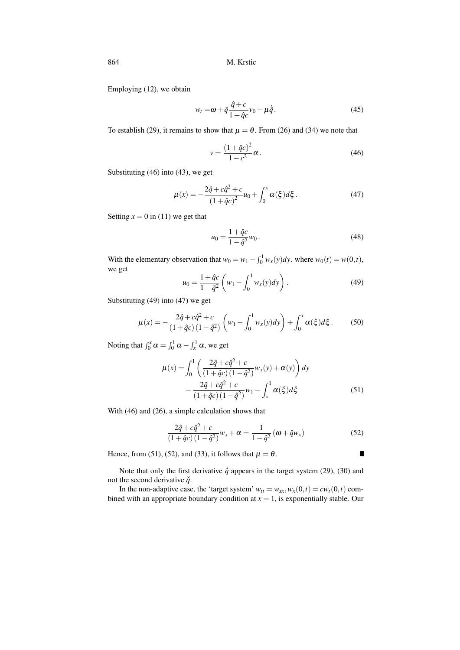Employing (12), we obtain

$$
w_t = \omega + \tilde{q}\frac{\hat{q} + c}{1 + \hat{q}c}v_0 + \mu\dot{\hat{q}}.
$$
\n(45)

To establish (29), it remains to show that  $\mu = \theta$ . From (26) and (34) we note that

$$
v = \frac{(1 + \hat{q}c)^2}{1 - c^2} \alpha.
$$
 (46)

Substituting (46) into (43), we get

$$
\mu(x) = -\frac{2\hat{q} + c\hat{q}^2 + c}{(1 + \hat{q}c)^2}u_0 + \int_0^x \alpha(\xi)d\xi.
$$
 (47)

Setting  $x = 0$  in (11) we get that

$$
u_0 = \frac{1 + \hat{q}c}{1 - \hat{q}^2} w_0.
$$
\n(48)

With the elementary observation that  $w_0 = w_1 - \int_0^1 w_x(y) dy$ . where  $w_0(t) = w(0, t)$ , we get

$$
u_0 = \frac{1 + \hat{q}c}{1 - \hat{q}^2} \left( w_1 - \int_0^1 w_x(y) dy \right).
$$
 (49)

Substituting (49) into (47) we get

$$
\mu(x) = -\frac{2\hat{q} + c\hat{q}^2 + c}{(1 + \hat{q}c)(1 - \hat{q}^2)} \left(w_1 - \int_0^1 w_x(y) dy\right) + \int_0^x \alpha(\xi) d\xi.
$$
 (50)

Noting that  $\int_0^x \alpha = \int_0^1 \alpha - \int_x^1 \alpha$ , we get

$$
\mu(x) = \int_0^1 \left( \frac{2\hat{q} + c\hat{q}^2 + c}{(1 + \hat{q}c)(1 - \hat{q}^2)} w_x(y) + \alpha(y) \right) dy
$$

$$
- \frac{2\hat{q} + c\hat{q}^2 + c}{(1 + \hat{q}c)(1 - \hat{q}^2)} w_1 - \int_x^1 \alpha(\xi) d\xi
$$
(51)

With (46) and (26), a simple calculation shows that

$$
\frac{2\hat{q} + c\hat{q}^2 + c}{(1 + \hat{q}c)(1 - \hat{q}^2)}w_x + \alpha = \frac{1}{1 - \hat{q}^2}(\omega + \hat{q}w_x)
$$
(52)

 $\blacksquare$ 

Hence, from (51), (52), and (33), it follows that  $\mu = \theta$ .

Note that only the first derivative 
$$
\hat{q}
$$
 appears in the target system (29), (30) and not the second derivative  $\hat{q}$ .

In the non-adaptive case, the 'target system'  $w_{tt} = w_{xx}, w_x(0,t) = cw_t(0,t)$  combined with an appropriate boundary condition at  $x = 1$ , is exponentially stable. Our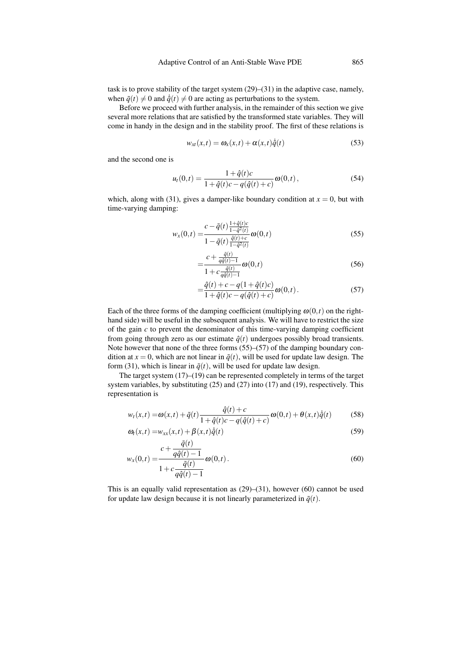task is to prove stability of the target system (29)–(31) in the adaptive case, namely, when  $\tilde{q}(t) \neq 0$  and  $\dot{\tilde{q}}(t) \neq 0$  are acting as perturbations to the system.

Before we proceed with further analysis, in the remainder of this section we give several more relations that are satisfied by the transformed state variables. They will come in handy in the design and in the stability proof. The first of these relations is

$$
w_{xt}(x,t) = \omega_x(x,t) + \alpha(x,t)\dot{\hat{q}}(t)
$$
\n(53)

and the second one is

$$
u_t(0,t) = \frac{1 + \hat{q}(t)c}{1 + \hat{q}(t)c - q(\hat{q}(t) + c)} \omega(0,t),
$$
\n(54)

which, along with (31), gives a damper-like boundary condition at  $x = 0$ , but with time-varying damping:

$$
w_x(0,t) = \frac{c - \tilde{q}(t) \frac{1 + \hat{q}(t)c}{1 - \hat{q}^2(t)}}{1 - \tilde{q}(t) \frac{\hat{q}(t) + c}{1 - \hat{q}^2(t)}} \omega(0,t)
$$
(55)

$$
=\frac{c+\frac{\tilde{q}(t)}{q\hat{q}(t)-1}}{1+c\frac{\tilde{q}(t)}{q\hat{q}(t)-1}}\omega(0,t)
$$
\n(56)

$$
= \frac{\hat{q}(t) + c - q(1 + \hat{q}(t)c)}{1 + \hat{q}(t)c - q(\hat{q}(t) + c)} \omega(0, t).
$$
 (57)

Each of the three forms of the damping coefficient (multiplying  $\omega(0,t)$ ) on the righthand side) will be useful in the subsequent analysis. We will have to restrict the size of the gain *c* to prevent the denominator of this time-varying damping coefficient from going through zero as our estimate  $\hat{q}(t)$  undergoes possibly broad transients. Note however that none of the three forms (55)–(57) of the damping boundary condition at  $x = 0$ , which are not linear in  $\tilde{q}(t)$ , will be used for update law design. The form (31), which is linear in  $\tilde{q}(t)$ , will be used for update law design.

The target system (17)–(19) can be represented completely in terms of the target system variables, by substituting (25) and (27) into (17) and (19), respectively. This representation is

$$
w_t(x,t) = \omega(x,t) + \tilde{q}(t)\frac{\hat{q}(t) + c}{1 + \hat{q}(t)c - q(\hat{q}(t) + c)}\omega(0,t) + \theta(x,t)\dot{\hat{q}}(t)
$$
(58)

$$
\omega_t(x,t) = w_{xx}(x,t) + \beta(x,t)\dot{\hat{q}}(t)
$$
\n
$$
\tilde{q}(t) \tag{59}
$$

$$
w_x(0,t) = \frac{c + \frac{t^2}{q\hat{q}(t) - 1}}{1 + c\frac{\tilde{q}(t)}{q\hat{q}(t) - 1}} \omega(0,t).
$$
 (60)

This is an equally valid representation as  $(29)$ – $(31)$ , however  $(60)$  cannot be used for update law design because it is not linearly parameterized in  $\tilde{q}(t)$ .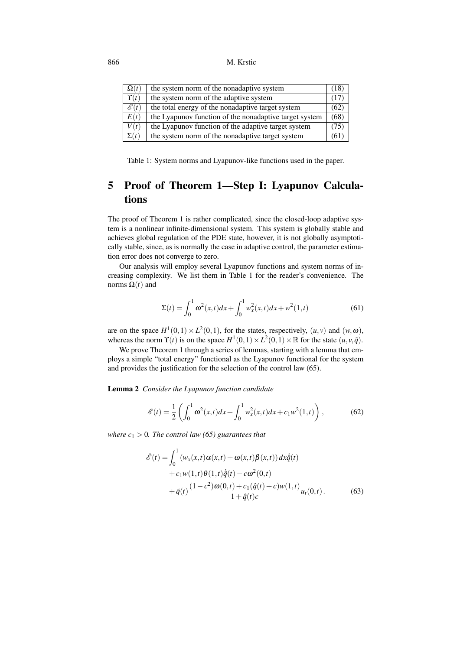| $\Omega(t)$                 | the system norm of the nonadaptive system              | (18  |
|-----------------------------|--------------------------------------------------------|------|
| $\overline{\Upsilon(t)}$    | the system norm of the adaptive system                 | (17  |
| $\overline{\mathscr{E}(t)}$ | the total energy of the nonadaptive target system      | (62) |
| E(t)                        | the Lyapunov function of the nonadaptive target system | (68) |
| $\overline{V(t)}$           | the Lyapunov function of the adaptive target system    | (75  |
| $\Sigma(t)$                 | the system norm of the nonadaptive target system       | (61  |

Table 1: System norms and Lyapunov-like functions used in the paper.

# 5 Proof of Theorem 1—Step I: Lyapunov Calculations

The proof of Theorem 1 is rather complicated, since the closed-loop adaptive system is a nonlinear infinite-dimensional system. This system is globally stable and achieves global regulation of the PDE state, however, it is not globally asymptotically stable, since, as is normally the case in adaptive control, the parameter estimation error does not converge to zero.

Our analysis will employ several Lyapunov functions and system norms of increasing complexity. We list them in Table 1 for the reader's convenience. The norms  $Ω(t)$  and

$$
\Sigma(t) = \int_0^1 \omega^2(x, t) dx + \int_0^1 w_x^2(x, t) dx + w^2(1, t)
$$
 (61)

are on the space  $H^1(0,1) \times L^2(0,1)$ , for the states, respectively,  $(u, v)$  and  $(w, \omega)$ , whereas the norm  $\Upsilon(t)$  is on the space  $H^1(0,1) \times L^2(0,1) \times \mathbb{R}$  for the state  $(u, v, \tilde{q})$ .

We prove Theorem 1 through a series of lemmas, starting with a lemma that employs a simple "total energy" functional as the Lyapunov functional for the system and provides the justification for the selection of the control law (65).

Lemma 2 *Consider the Lyapunov function candidate*

$$
\mathcal{E}(t) = \frac{1}{2} \left( \int_0^1 \omega^2(x, t) dx + \int_0^1 w_x^2(x, t) dx + c_1 w^2(1, t) \right), \tag{62}
$$

*where*  $c_1 > 0$ *. The control law* (65) guarantees that

$$
\dot{\mathscr{E}}(t) = \int_0^1 \left( w_x(x,t) \alpha(x,t) + \omega(x,t) \beta(x,t) \right) dx \dot{q}(t) \n+ c_1 w(1,t) \theta(1,t) \dot{q}(t) - c \omega^2(0,t) \n+ \tilde{q}(t) \frac{(1-c^2) \omega(0,t) + c_1(\hat{q}(t) + c) w(1,t)}{1 + \hat{q}(t)c} u_t(0,t).
$$
\n(63)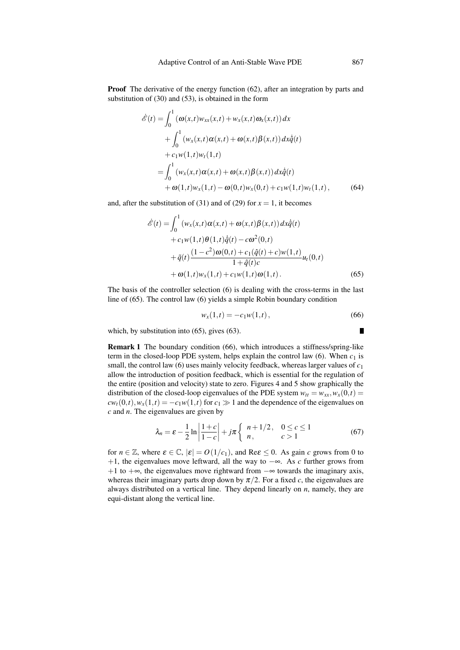Proof The derivative of the energy function (62), after an integration by parts and substitution of (30) and (53), is obtained in the form

$$
\hat{\mathscr{E}}(t) = \int_0^1 (\omega(x,t)w_{xx}(x,t) + w_x(x,t)\omega_x(x,t)) dx \n+ \int_0^1 (w_x(x,t)\alpha(x,t) + \omega(x,t)\beta(x,t)) dx\hat{q}(t) \n+ c_1w(1,t)w_t(1,t) \n= \int_0^1 (w_x(x,t)\alpha(x,t) + \omega(x,t)\beta(x,t)) dx\hat{q}(t) \n+ \omega(1,t)w_x(1,t) - \omega(0,t)w_x(0,t) + c_1w(1,t)w_t(1,t),
$$
\n(64)

and, after the substitution of (31) and of (29) for  $x = 1$ , it becomes

$$
\hat{\mathscr{E}}(t) = \int_0^1 \left( w_x(x,t) \alpha(x,t) + \omega(x,t) \beta(x,t) \right) dx \hat{q}(t) \n+ c_1 w(1,t) \theta(1,t) \hat{q}(t) - c \omega^2(0,t) \n+ \tilde{q}(t) \frac{(1 - c^2) \omega(0,t) + c_1(\hat{q}(t) + c) w(1,t)}{1 + \hat{q}(t)c} u_t(0,t) \n+ \omega(1,t) w_x(1,t) + c_1 w(1,t) \omega(1,t).
$$
\n(65)

The basis of the controller selection (6) is dealing with the cross-terms in the last line of (65). The control law (6) yields a simple Robin boundary condition

$$
w_x(1,t) = -c_1 w(1,t), \qquad (66)
$$

which, by substitution into (65), gives (63).

Remark 1 The boundary condition (66), which introduces a stiffness/spring-like term in the closed-loop PDE system, helps explain the control law  $(6)$ . When  $c_1$  is small, the control law (6) uses mainly velocity feedback, whereas larger values of *c*<sup>1</sup> allow the introduction of position feedback, which is essential for the regulation of the entire (position and velocity) state to zero. Figures 4 and 5 show graphically the distribution of the closed-loop eigenvalues of the PDE system  $w_{tt} = w_{xx}$ ,  $w_x(0,t) =$  $cw_t(0,t)$ ,  $w_x(1,t) = -c_1w(1,t)$  for  $c_1 \gg 1$  and the dependence of the eigenvalues on *c* and *n*. The eigenvalues are given by

$$
\lambda_n = \varepsilon - \frac{1}{2} \ln \left| \frac{1+c}{1-c} \right| + j\pi \left\{ \begin{array}{ll} n+1/2, & 0 \le c \le 1 \\ n, & c > 1 \end{array} \right. \tag{67}
$$

for  $n \in \mathbb{Z}$ , where  $\varepsilon \in \mathbb{C}$ ,  $|\varepsilon| = O(1/c_1)$ , and Re $\varepsilon \le 0$ . As gain *c* grows from 0 to +1, the eigenvalues move leftward, all the way to −∞. As *c* further grows from +1 to + $\infty$ , the eigenvalues move rightward from  $-\infty$  towards the imaginary axis, whereas their imaginary parts drop down by  $\pi/2$ . For a fixed *c*, the eigenvalues are always distributed on a vertical line. They depend linearly on *n*, namely, they are equi-distant along the vertical line.

$$
\blacksquare
$$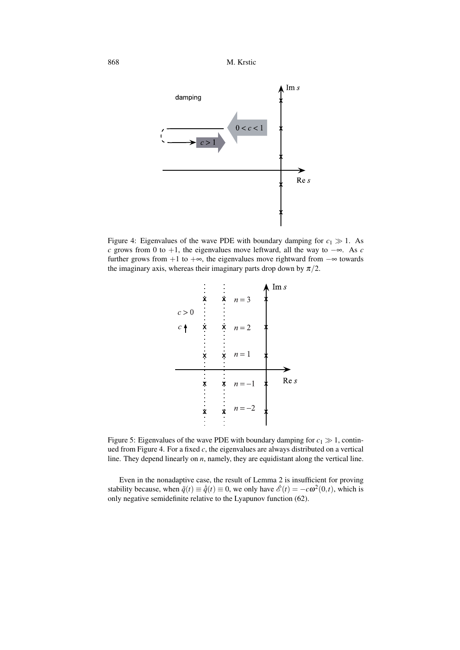

Figure 4: Eigenvalues of the wave PDE with boundary damping for  $c_1 \gg 1$ . As *c* grows from 0 to +1, the eigenvalues move leftward, all the way to −∞. As *c* further grows from  $+1$  to  $+\infty$ , the eigenvalues move rightward from  $-\infty$  towards the imaginary axis, whereas their imaginary parts drop down by  $\pi/2$ .



Figure 5: Eigenvalues of the wave PDE with boundary damping for  $c_1 \gg 1$ , continued from Figure 4. For a fixed *c*, the eigenvalues are always distributed on a vertical line. They depend linearly on *n*, namely, they are equidistant along the vertical line.

Even in the nonadaptive case, the result of Lemma 2 is insufficient for proving stability because, when  $\tilde{q}(t) \equiv \dot{q}(t) \equiv 0$ , we only have  $\mathscr{E}(t) = -c\omega^2(0,t)$ , which is only negative semidefinite relative to the Lyapunov function (62).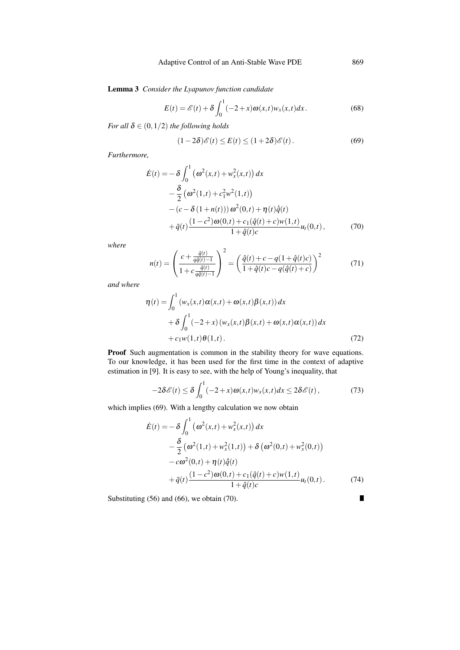Lemma 3 *Consider the Lyapunov function candidate*

$$
E(t) = \mathcal{E}(t) + \delta \int_0^1 (-2+x)\omega(x,t)w_x(x,t)dx.
$$
 (68)

*For all*  $\delta \in (0, 1/2)$  *the following holds* 

$$
(1-2\delta)\mathscr{E}(t) \le E(t) \le (1+2\delta)\mathscr{E}(t). \tag{69}
$$

*Furthermore,*

$$
\dot{E}(t) = -\delta \int_0^1 (\omega^2(x,t) + w_x^2(x,t)) dx \n- \frac{\delta}{2} (\omega^2(1,t) + c_1^2 w^2(1,t)) \n- (c - \delta (1 + n(t))) \omega^2(0,t) + \eta(t) \dot{q}(t) \n+ \tilde{q}(t) \frac{(1 - c^2) \omega(0,t) + c_1(\hat{q}(t) + c) w(1,t)}{1 + \hat{q}(t)c} u_t(0,t),
$$
\n(70)

*where*

$$
n(t) = \left(\frac{c + \frac{\tilde{q}(t)}{q\hat{q}(t)-1}}{1 + c\frac{\tilde{q}(t)}{q\hat{q}(t)-1}}\right)^2 = \left(\frac{\hat{q}(t) + c - q(1+\hat{q}(t)c)}{1 + \hat{q}(t)c - q(\hat{q}(t) + c)}\right)^2 \tag{71}
$$

*and where*

$$
\eta(t) = \int_0^1 (w_x(x,t)\alpha(x,t) + \omega(x,t)\beta(x,t)) dx
$$
  
+  $\delta \int_0^1 (-2+x) (w_x(x,t)\beta(x,t) + \omega(x,t)\alpha(x,t)) dx$   
+  $c_1 w(1,t)\theta(1,t)$ . (72)

Proof Such augmentation is common in the stability theory for wave equations. To our knowledge, it has been used for the first time in the context of adaptive estimation in [9]. It is easy to see, with the help of Young's inequality, that

$$
-2\delta\mathscr{E}(t) \leq \delta\int_0^1 (-2+x)\omega(x,t)w_x(x,t)dx \leq 2\delta\mathscr{E}(t),\tag{73}
$$

which implies (69). With a lengthy calculation we now obtain

$$
\dot{E}(t) = -\delta \int_0^1 (\omega^2(x,t) + w_x^2(x,t)) dx \n- \frac{\delta}{2} (\omega^2(1,t) + w_x^2(1,t)) + \delta (\omega^2(0,t) + w_x^2(0,t)) \n- c\omega^2(0,t) + \eta(t)\dot{\hat{q}}(t) \n+ \tilde{q}(t) \frac{(1-c^2)\omega(0,t) + c_1(\hat{q}(t) + c)w(1,t)}{1+\hat{q}(t)c} u_t(0,t).
$$
\n(74)

Substituting (56) and (66), we obtain (70).

 $\blacksquare$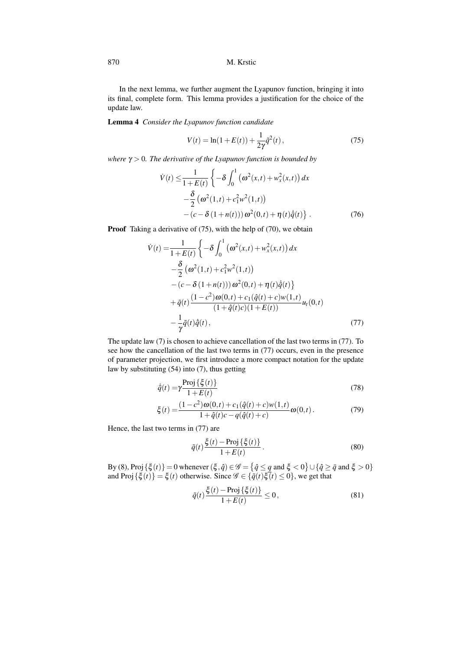In the next lemma, we further augment the Lyapunov function, bringing it into its final, complete form. This lemma provides a justification for the choice of the update law.

Lemma 4 *Consider the Lyapunov function candidate*

$$
V(t) = \ln(1 + E(t)) + \frac{1}{2\gamma}\tilde{q}^{2}(t),
$$
\n(75)

*where* γ *>* 0*. The derivative of the Lyapunov function is bounded by*

$$
\dot{V}(t) \leq \frac{1}{1+E(t)} \left\{ -\delta \int_0^1 (\omega^2(x,t) + w_x^2(x,t)) dx -\frac{\delta}{2} (\omega^2(1,t) + c_1^2 w^2(1,t)) - (c - \delta (1+n(t))) \omega^2(0,t) + \eta(t) \dot{q}(t) \right\}.
$$
\n(76)

**Proof** Taking a derivative of (75), with the help of (70), we obtain

$$
\dot{V}(t) = \frac{1}{1+E(t)} \left\{ -\delta \int_0^1 (\omega^2(x,t) + w_x^2(x,t)) dx \n- \frac{\delta}{2} (\omega^2(1,t) + c_1^2 w^2(1,t)) \n- (c - \delta (1+n(t))) \omega^2(0,t) + \eta(t) \dot{q}(t) \right\} \n+ \tilde{q}(t) \frac{(1-c^2)\omega(0,t) + c_1(\hat{q}(t) + c)w(1,t)}{(1+\hat{q}(t)c)(1+E(t))} u_t(0,t) \n- \frac{1}{\gamma} \tilde{q}(t) \dot{\tilde{q}}(t),
$$
\n(77)

The update law (7) is chosen to achieve cancellation of the last two terms in (77). To see how the cancellation of the last two terms in (77) occurs, even in the presence of parameter projection, we first introduce a more compact notation for the update law by substituting (54) into (7), thus getting

$$
\dot{\hat{q}}(t) = \gamma \frac{\text{Proj}\{\xi(t)\}}{1 + E(t)}
$$
\n(78)

$$
\xi(t) = \frac{(1 - c^2)\omega(0, t) + c_1(\hat{q}(t) + c)w(1, t)}{1 + \hat{q}(t)c - q(\hat{q}(t) + c)}\omega(0, t).
$$
\n(79)

Hence, the last two terms in (77) are

$$
\tilde{q}(t) \frac{\xi(t) - \text{Proj}\{\xi(t)\}}{1 + E(t)}.
$$
\n(80)

By (8), Proj $\{\xi(t)\}=0$  whenever  $(\xi, \hat{q})\in \mathscr{G} = \{\hat{q} \leq q \text{ and } \xi < 0\} \cup \{\hat{q} \geq \bar{q} \text{ and } \xi > 0\}$ and Proj { $\xi(t)$ } =  $\xi(t)$  otherwise. Since  $\mathscr{G} \in {\{\tilde{q}(t)\xi(t) \leq 0\}}$ , we get that

$$
\tilde{q}(t) \frac{\xi(t) - \text{Proj}\left\{\xi(t)\right\}}{1 + E(t)} \le 0,\tag{81}
$$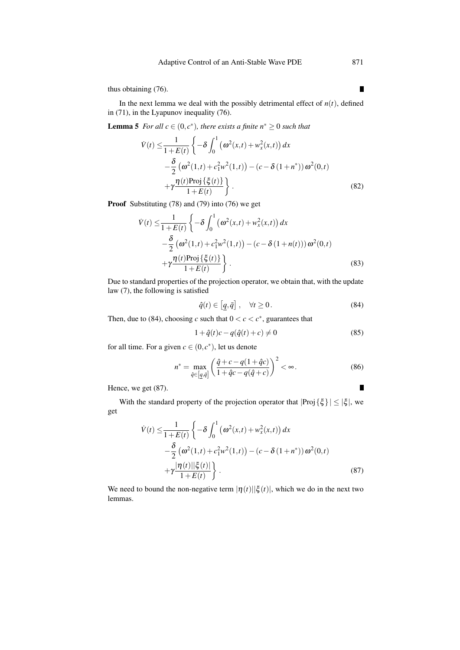thus obtaining (76).

In the next lemma we deal with the possibly detrimental effect of  $n(t)$ , defined in (71), in the Lyapunov inequality (76).

**Lemma 5** *For all*  $c \in (0, c^*)$ *, there exists a finite*  $n^* \geq 0$  *such that* 

$$
\dot{V}(t) \leq \frac{1}{1+E(t)} \left\{ -\delta \int_0^1 (\omega^2(x,t) + w_x^2(x,t)) dx -\frac{\delta}{2} (\omega^2(1,t) + c_1^2 w^2(1,t)) - (c - \delta (1 + n^*)) \omega^2(0,t) + \gamma \frac{\eta(t) \text{Proj} \{\xi(t)\}}{1+E(t)} \right\}.
$$
\n(82)

Proof Substituting (78) and (79) into (76) we get

$$
\dot{V}(t) \leq \frac{1}{1+E(t)} \left\{ -\delta \int_0^1 (\omega^2(x,t) + w_x^2(x,t)) dx -\frac{\delta}{2} (\omega^2(1,t) + c_1^2 w^2(1,t)) - (c - \delta (1+n(t))) \omega^2(0,t) + \gamma \frac{\eta(t) \text{Proj} \{\xi(t)\}}{1+E(t)} \right\}.
$$
\n(83)

Due to standard properties of the projection operator, we obtain that, with the update law (7), the following is satisfied

$$
\hat{q}(t) \in \left[\underline{q}, \bar{q}\right], \quad \forall t \ge 0. \tag{84}
$$

Then, due to (84), choosing *c* such that  $0 < c < c^*$ , guarantees that

$$
1 + \hat{q}(t)c - q(\hat{q}(t) + c) \neq 0
$$
 (85)

for all time. For a given  $c \in (0, c^*)$ , let us denote

$$
n^* = \max_{\hat{q} \in [q, \bar{q}]} \left( \frac{\hat{q} + c - q(1 + \hat{q}c)}{1 + \hat{q}c - q(\hat{q} + c)} \right)^2 < \infty. \tag{86}
$$

Hence, we get (87).

With the standard property of the projection operator that  $|Proj \{\xi\}| \leq |\xi|$ , we get

$$
\dot{V}(t) \leq \frac{1}{1+E(t)} \left\{ -\delta \int_0^1 (\omega^2(x,t) + w_x^2(x,t)) dx -\frac{\delta}{2} (\omega^2(1,t) + c_1^2 w^2(1,t)) - (c - \delta (1 + n^*)) \omega^2(0,t) + \gamma \frac{|\eta(t)||\xi(t)|}{1+E(t)} \right\}.
$$
\n(87)

We need to bound the non-negative term  $|\eta(t)||\xi(t)|$ , which we do in the next two lemmas.

 $\blacksquare$ 

 $\blacksquare$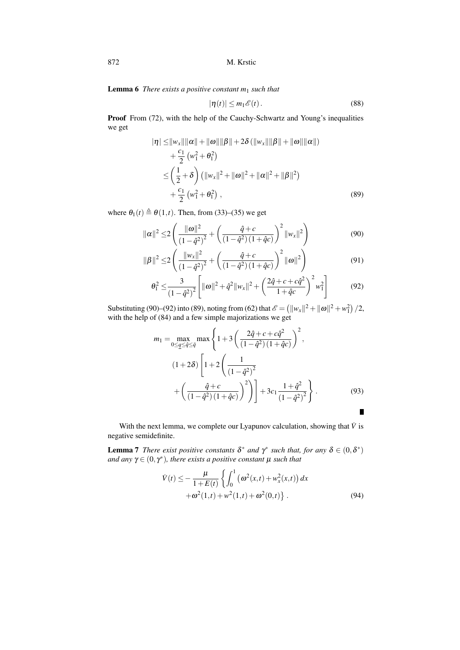Lemma 6 *There exists a positive constant m*<sup>1</sup> *such that*

$$
|\eta(t)| \le m_1 \mathscr{E}(t). \tag{88}
$$

Proof From (72), with the help of the Cauchy-Schwartz and Young's inequalities we get

$$
|\eta| \leq ||w_x|| ||\alpha|| + ||\omega|| ||\beta|| + 2\delta (||w_x|| ||\beta|| + ||\omega|| ||\alpha||)
$$
  
+  $\frac{c_1}{2} (w_1^2 + \theta_1^2)$   
 $\leq \left(\frac{1}{2} + \delta\right) (||w_x||^2 + ||\omega||^2 + ||\alpha||^2 + ||\beta||^2)$   
+  $\frac{c_1}{2} (w_1^2 + \theta_1^2)$ , (89)

where  $\theta_1(t) \triangleq \theta(1,t)$ . Then, from (33)–(35) we get

$$
\|\alpha\|^2 \le 2\left(\frac{\|\omega\|^2}{(1-\hat{q}^2)^2} + \left(\frac{\hat{q}+c}{(1-\hat{q}^2)(1+\hat{q}c)}\right)^2 \|\mathbf{w}_x\|^2\right) \tag{90}
$$

$$
\|\beta\|^2 \le 2\left(\frac{\|w_x\|^2}{\left(1-\hat{q}^2\right)^2} + \left(\frac{\hat{q}+c}{\left(1-\hat{q}^2\right)\left(1+\hat{q}c\right)}\right)^2 \|\omega\|^2\right) \tag{91}
$$

$$
\theta_1^2 \leq \frac{3}{(1-\hat{q}^2)^2} \left[ ||\boldsymbol{\omega}||^2 + \hat{q}^2 ||w_x||^2 + \left( \frac{2\hat{q} + c + c\hat{q}^2}{1 + \hat{q}c} \right)^2 w_1^2 \right] \tag{92}
$$

Substituting (90)–(92) into (89), noting from (62) that  $\mathcal{E} = (||w_x||^2 + ||\boldsymbol{\omega}||^2 + w_1^2)/2$ , with the help of (84) and a few simple majorizations we get

$$
m_1 = \max_{0 \le \underline{q} \le \hat{q} \le \overline{q}} \max \left\{ 1 + 3 \left( \frac{2\hat{q} + c + c\hat{q}^2}{(1 - \hat{q}^2)(1 + \hat{q}c)} \right)^2, \right\}
$$
  

$$
(1 + 2\delta) \left[ 1 + 2 \left( \frac{1}{(1 - \hat{q}^2)^2} + \left( \frac{\hat{q} + c}{(1 - \hat{q}^2)(1 + \hat{q}c)} \right)^2 \right) \right] + 3c_1 \frac{1 + \hat{q}^2}{(1 - \hat{q}^2)^2}.
$$
 (93)

With the next lemma, we complete our Lyapunov calculation, showing that  $\dot{V}$  is negative semidefinite.

**Lemma 7** *There exist positive constants*  $\delta^*$  *and*  $\gamma^*$  *such that, for any*  $\delta \in (0, \delta^*)$ *and any*  $\gamma \in (0, \gamma^*)$ *, there exists a positive constant*  $\mu$  *such that* 

$$
\dot{V}(t) \le -\frac{\mu}{1+E(t)} \left\{ \int_0^1 (\omega^2(x,t) + w_x^2(x,t)) dx + \omega^2(1,t) + w^2(1,t) + \omega^2(0,t) \right\}.
$$
\n(94)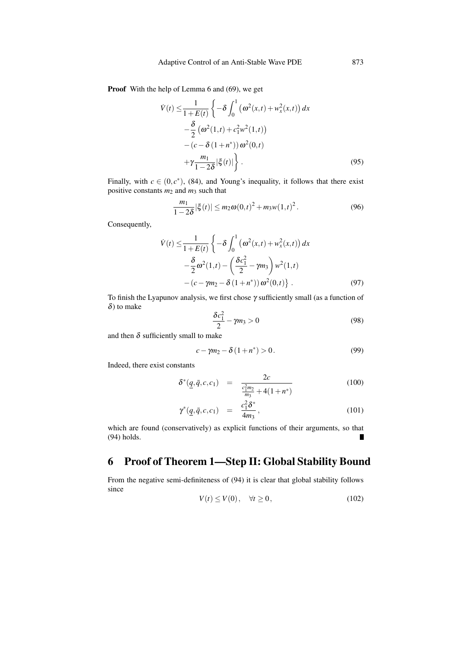Proof With the help of Lemma 6 and (69), we get

$$
\dot{V}(t) \leq \frac{1}{1+E(t)} \left\{ -\delta \int_0^1 (\omega^2(x,t) + w_x^2(x,t)) dx -\frac{\delta}{2} (\omega^2(1,t) + c_1^2 w^2(1,t)) - (c - \delta (1 + n^*)) \omega^2(0,t) + \gamma \frac{m_1}{1-2\delta} |\xi(t)| \right\}.
$$
\n(95)

Finally, with  $c \in (0, c^*)$ , (84), and Young's inequality, it follows that there exist positive constants *m*<sup>2</sup> and *m*<sup>3</sup> such that

$$
\frac{m_1}{1-2\delta}|\xi(t)| \le m_2 \omega(0,t)^2 + m_3 w(1,t)^2.
$$
 (96)

Consequently,

$$
\dot{V}(t) \leq \frac{1}{1+E(t)} \left\{ -\delta \int_0^1 (\omega^2(x,t) + w_x^2(x,t)) dx - \frac{\delta}{2} \omega^2(1,t) - \left(\frac{\delta c_1^2}{2} - \gamma m_3\right) w^2(1,t) - (c - \gamma m_2 - \delta(1+n^*)) \omega^2(0,t) \right\}.
$$
\n(97)

To finish the Lyapunov analysis, we first chose  $\gamma$  sufficiently small (as a function of  $\delta$ ) to make

$$
\frac{\delta c_1^2}{2} - \gamma m_3 > 0 \tag{98}
$$

and then  $\delta$  sufficiently small to make

$$
c - \gamma m_2 - \delta (1 + n^*) > 0.
$$
 (99)

Indeed, there exist constants

$$
\delta^*(\underline{q}, \bar{q}, c, c_1) = \frac{2c}{\frac{c_1^2 m_2}{m_3} + 4(1 + n^*)}
$$
(100)

$$
\gamma^*(\underline{q}, \bar{q}, c, c_1) = \frac{c_1^2 \delta^*}{4m_3}, \qquad (101)
$$

which are found (conservatively) as explicit functions of their arguments, so that (94) holds.

## 6 Proof of Theorem 1—Step II: Global Stability Bound

From the negative semi-definiteness of (94) it is clear that global stability follows since

$$
V(t) \le V(0), \quad \forall t \ge 0,
$$
\n(102)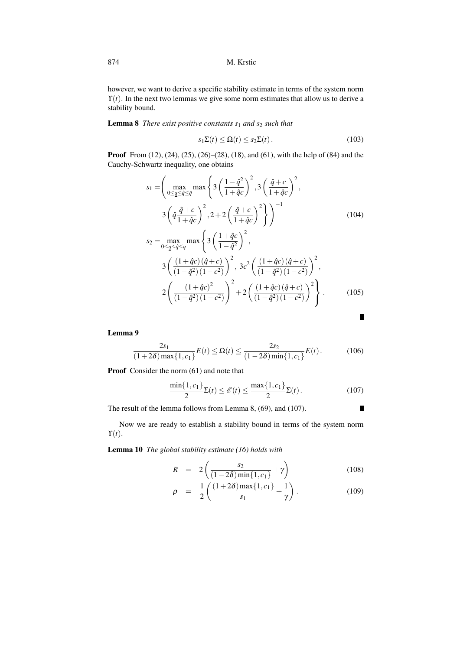however, we want to derive a specific stability estimate in terms of the system norm  $\Upsilon(t)$ . In the next two lemmas we give some norm estimates that allow us to derive a stability bound.

Lemma 8 *There exist positive constants s*<sup>1</sup> *and s*<sup>2</sup> *such that*

$$
s_1 \Sigma(t) \leq \Omega(t) \leq s_2 \Sigma(t). \tag{103}
$$

Proof From (12), (24), (25), (26)–(28), (18), and (61), with the help of (84) and the Cauchy-Schwartz inequality, one obtains

$$
s_{1} = \left(\max_{0 \leq \underline{q} \leq \hat{q} \leq \overline{q}} \max\left\{3\left(\frac{1-\hat{q}^{2}}{1+\hat{q}c}\right)^{2}, 3\left(\frac{\hat{q}+c}{1+\hat{q}c}\right)^{2}, 3\left(\frac{\hat{q}+c}{1+\hat{q}c}\right)^{2}, 3\left(\frac{\hat{q}+c}{1+\hat{q}c}\right)^{2}\right\}\right)
$$
\n
$$
3\left(\hat{q}\frac{\hat{q}+c}{1+\hat{q}c}\right)^{2}, 2+2\left(\frac{\hat{q}+c}{1+\hat{q}c}\right)^{2}\right\)^{-1}
$$
\n
$$
s_{2} = \max_{0 \leq \underline{q} \leq \hat{q} \leq \overline{q}} \max\left\{3\left(\frac{1+\hat{q}c}{1-\hat{q}^{2}}\right)^{2}, 3c^{2}\left(\frac{(1+\hat{q}c)(\hat{q}+c)}{(1-\hat{q}^{2})(1-c^{2})}\right)^{2}, 3c^{2}\left(\frac{(1+\hat{q}c)(\hat{q}+c)}{(1-\hat{q}^{2})(1-c^{2})}\right)^{2}, 2\left(\frac{(1+\hat{q}c)^{2}}{(1-\hat{q}^{2})(1-c^{2})}\right)^{2}+2\left(\frac{(1+\hat{q}c)(\hat{q}+c)}{(1-\hat{q}^{2})(1-c^{2})}\right)^{2}\right\}.
$$
\n(105)

Lemma 9

$$
\frac{2s_1}{(1+2\delta)\max\{1,c_1\}}E(t) \le \Omega(t) \le \frac{2s_2}{(1-2\delta)\min\{1,c_1\}}E(t). \tag{106}
$$

Proof Consider the norm  $(61)$  and note that

$$
\frac{\min\{1, c_1\}}{2} \Sigma(t) \le \mathcal{E}(t) \le \frac{\max\{1, c_1\}}{2} \Sigma(t).
$$
 (107)

 $\blacksquare$ 

The result of the lemma follows from Lemma 8, (69), and (107).

Now we are ready to establish a stability bound in terms of the system norm  $\Upsilon(t)$ .

Lemma 10 *The global stability estimate (16) holds with*

$$
R = 2\left(\frac{s_2}{(1-2\delta)\min\{1,c_1\}} + \gamma\right)
$$
 (108)

$$
\rho = \frac{1}{2} \left( \frac{(1+2\delta) \max\{1, c_1\}}{s_1} + \frac{1}{\gamma} \right). \tag{109}
$$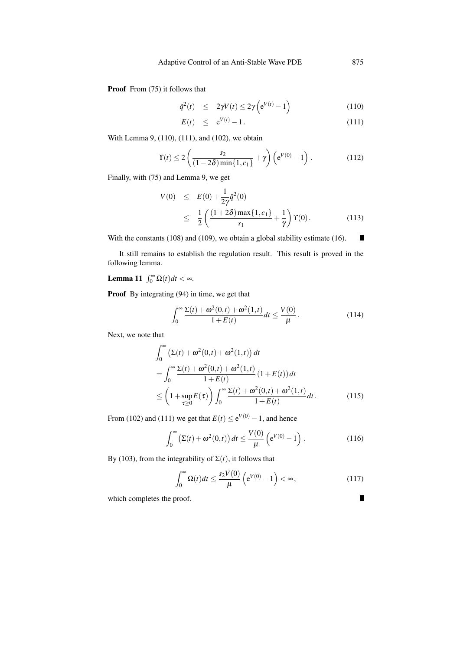Proof From  $(75)$  it follows that

$$
\tilde{q}^2(t) \le 2\gamma V(t) \le 2\gamma \left(e^{V(t)} - 1\right) \tag{110}
$$

$$
E(t) \leq e^{V(t)} - 1. \tag{111}
$$

With Lemma 9, (110), (111), and (102), we obtain

$$
\Upsilon(t) \le 2\left(\frac{s_2}{(1-2\delta)\min\{1,c_1\}} + \gamma\right) \left(e^{V(0)} - 1\right).
$$
 (112)

Finally, with (75) and Lemma 9, we get

$$
V(0) \leq E(0) + \frac{1}{2\gamma} \tilde{q}^{2}(0)
$$
  
 
$$
\leq \frac{1}{2} \left( \frac{(1+2\delta) \max\{1, c_{1}\}}{s_{1}} + \frac{1}{\gamma} \right) Y(0).
$$
 (113)

With the constants (108) and (109), we obtain a global stability estimate (16). П

It still remains to establish the regulation result. This result is proved in the following lemma.

## Lemma 11  $\int_0^\infty \Omega(t) dt < \infty$ .

Proof By integrating (94) in time, we get that

$$
\int_0^\infty \frac{\Sigma(t) + \omega^2(0, t) + \omega^2(1, t)}{1 + E(t)} dt \le \frac{V(0)}{\mu}.
$$
 (114)

Next, we note that

$$
\int_0^{\infty} \left(\Sigma(t) + \omega^2(0,t) + \omega^2(1,t)\right) dt
$$
  
= 
$$
\int_0^{\infty} \frac{\Sigma(t) + \omega^2(0,t) + \omega^2(1,t)}{1 + E(t)} (1 + E(t)) dt
$$
  

$$
\leq \left(1 + \sup_{\tau \geq 0} E(\tau)\right) \int_0^{\infty} \frac{\Sigma(t) + \omega^2(0,t) + \omega^2(1,t)}{1 + E(t)} dt.
$$
 (115)

From (102) and (111) we get that  $E(t) \le e^{V(0)} - 1$ , and hence

$$
\int_0^\infty \left( \Sigma(t) + \omega^2(0, t) \right) dt \le \frac{V(0)}{\mu} \left( e^{V(0)} - 1 \right). \tag{116}
$$

By (103), from the integrability of  $\Sigma(t)$ , it follows that

$$
\int_0^\infty \Omega(t)dt \le \frac{s_2 V(0)}{\mu} \left(e^{V(0)} - 1\right) < \infty,\tag{117}
$$

which completes the proof.

 $\blacksquare$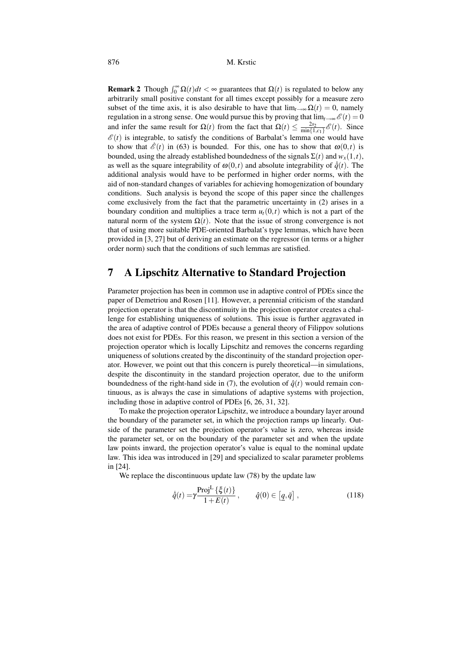**Remark 2** Though  $\int_0^\infty \Omega(t) dt < \infty$  guarantees that  $\Omega(t)$  is regulated to below any arbitrarily small positive constant for all times except possibly for a measure zero subset of the time axis, it is also desirable to have that  $\lim_{t\to\infty} \Omega(t) = 0$ , namely regulation in a strong sense. One would pursue this by proving that  $\lim_{t\to\infty} \mathscr{E}(t) = 0$ and infer the same result for  $\Omega(t)$  from the fact that  $\Omega(t) \le \frac{2s_2}{\min\{1,c_1\}} \mathcal{E}(t)$ . Since  $\mathscr{E}(t)$  is integrable, to satisfy the conditions of Barbalat's lemma one would have to show that  $\mathcal{E}(t)$  in (63) is bounded. For this, one has to show that  $\omega(0,t)$  is bounded, using the already established boundedness of the signals  $\Sigma(t)$  and  $w_x(1,t)$ , as well as the square integrability of  $\omega(0,t)$  and absolute integrability of  $\dot{q}(t)$ . The additional analysis would have to be performed in higher order norms, with the aid of non-standard changes of variables for achieving homogenization of boundary conditions. Such analysis is beyond the scope of this paper since the challenges come exclusively from the fact that the parametric uncertainty in (2) arises in a boundary condition and multiplies a trace term  $u_t(0,t)$  which is not a part of the natural norm of the system  $\Omega(t)$ . Note that the issue of strong convergence is not that of using more suitable PDE-oriented Barbalat's type lemmas, which have been provided in [3, 27] but of deriving an estimate on the regressor (in terms or a higher order norm) such that the conditions of such lemmas are satisfied.

## 7 A Lipschitz Alternative to Standard Projection

Parameter projection has been in common use in adaptive control of PDEs since the paper of Demetriou and Rosen [11]. However, a perennial criticism of the standard projection operator is that the discontinuity in the projection operator creates a challenge for establishing uniqueness of solutions. This issue is further aggravated in the area of adaptive control of PDEs because a general theory of Filippov solutions does not exist for PDEs. For this reason, we present in this section a version of the projection operator which is locally Lipschitz and removes the concerns regarding uniqueness of solutions created by the discontinuity of the standard projection operator. However, we point out that this concern is purely theoretical—in simulations, despite the discontinuity in the standard projection operator, due to the uniform boundedness of the right-hand side in (7), the evolution of  $\hat{q}(t)$  would remain continuous, as is always the case in simulations of adaptive systems with projection, including those in adaptive control of PDEs [6, 26, 31, 32].

To make the projection operator Lipschitz, we introduce a boundary layer around the boundary of the parameter set, in which the projection ramps up linearly. Outside of the parameter set the projection operator's value is zero, whereas inside the parameter set, or on the boundary of the parameter set and when the update law points inward, the projection operator's value is equal to the nominal update law. This idea was introduced in [29] and specialized to scalar parameter problems in [24].

We replace the discontinuous update law (78) by the update law

$$
\dot{\hat{q}}(t) = \gamma \frac{\text{Proj}^{\text{L}}\left\{\xi(t)\right\}}{1 + E(t)}, \qquad \hat{q}(0) \in \left[q, \bar{q}\right], \tag{118}
$$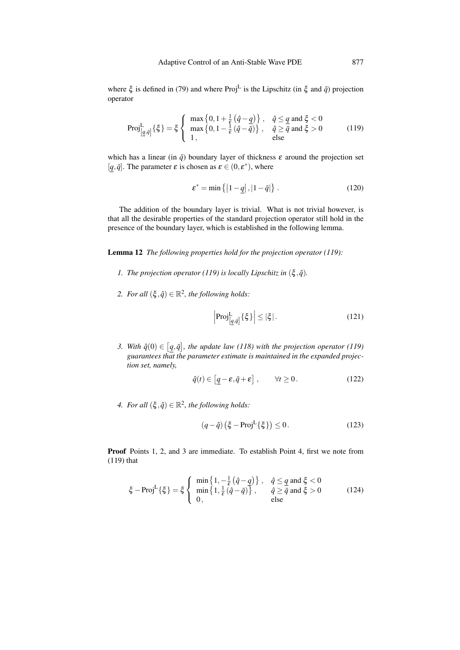where  $\xi$  is defined in (79) and where Proj<sup>L</sup> is the Lipschitz (in  $\xi$  and  $\hat{q}$ ) projection operator

$$
\text{Proj}_{\left[\underline{q},\bar{q}\right]}^{L}\left\{\xi\right\} = \xi \left\{ \begin{array}{l} \max\left\{0, 1 + \frac{1}{\varepsilon}\left(\hat{q} - \underline{q}\right)\right\}, & \hat{q} \le \underline{q} \text{ and } \xi < 0\\ \max\left\{0, 1 - \frac{1}{\varepsilon}\left(\hat{q} - \bar{q}\right)\right\}, & \hat{q} \ge \bar{q} \text{ and } \xi > 0\\ 1, & \text{else} \end{array} \right. \tag{119}
$$

which has a linear (in  $\hat{q}$ ) boundary layer of thickness  $\varepsilon$  around the projection set [ $q, \bar{q}$ ]. The parameter  $\varepsilon$  is chosen as  $\varepsilon \in (0, \varepsilon^*)$ , where

$$
\varepsilon^* = \min\left\{ \left| 1 - \underline{q} \right|, \left| 1 - \bar{q} \right| \right\}.
$$
 (120)

The addition of the boundary layer is trivial. What is not trivial however, is that all the desirable properties of the standard projection operator still hold in the presence of the boundary layer, which is established in the following lemma.

Lemma 12 *The following properties hold for the projection operator (119):*

- *1. The projection operator* (119) is locally Lipschitz in  $(\xi, \hat{q})$ .
- *2. For all*  $(\xi, \hat{q}) \in \mathbb{R}^2$ , the following holds:

$$
\left|\text{Proj}_{\left[\underline{q},\bar{q}\right]}^{L}\left\{\xi\right\}\right| \leq \left|\xi\right|.
$$
 (121)

*3. With*  $\hat{q}(0) \in [\underline{q}, \overline{q}]$ , the update law (118) with the projection operator (119) *guarantees that the parameter estimate is maintained in the expanded projection set, namely,*

$$
\hat{q}(t) \in \left[ \underline{q} - \varepsilon, \bar{q} + \varepsilon \right], \qquad \forall t \ge 0. \tag{122}
$$

*4. For all*  $(\xi, \hat{q}) \in \mathbb{R}^2$ , the following holds:

$$
(q - \hat{q})\left(\xi - \text{Proj}^{\mathcal{L}}\{\xi\}\right) \le 0. \tag{123}
$$

Proof Points 1, 2, and 3 are immediate. To establish Point 4, first we note from (119) that

$$
\xi - \text{Proj}^{\text{L}}\{\xi\} = \xi \begin{cases} \min\left\{1, -\frac{1}{\varepsilon}(\hat{q} - q)\right\}, & \hat{q} \le q \text{ and } \xi < 0\\ \min\left\{1, \frac{1}{\varepsilon}(\hat{q} - \bar{q})\right\}, & \hat{q} \ge \bar{q} \text{ and } \xi > 0\\ 0, & \text{else} \end{cases}
$$
(124)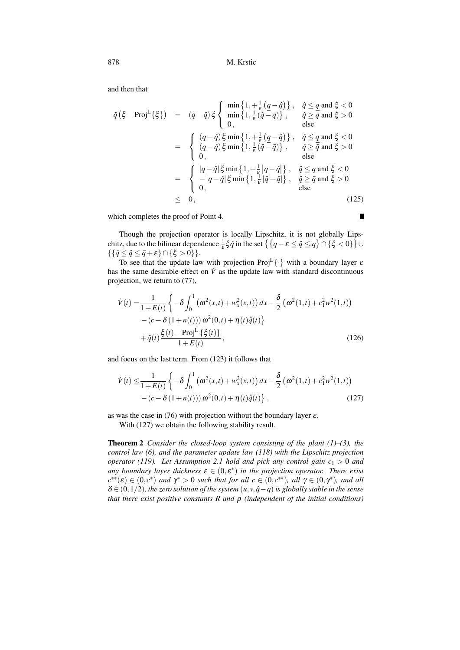and then that

$$
\tilde{q}(\xi - \text{Proj}^{L}\{\xi\}) = (q - \hat{q})\xi \begin{cases}\n\min\{1, +\frac{1}{\varepsilon}(q - \hat{q})\}, & \hat{q} \leq q \text{ and } \xi < 0 \\
\min\{1, \frac{1}{\varepsilon}(\hat{q} - \bar{q})\}, & \hat{q} \geq \bar{q} \text{ and } \xi > 0 \\
0, & \text{else}\n\end{cases}
$$
\n
$$
= \begin{cases}\n(q - \hat{q})\xi \min\{1, +\frac{1}{\varepsilon}(q - \hat{q})\}, & \hat{q} \leq q \text{ and } \xi < 0 \\
(q - \hat{q})\xi \min\{1, \frac{1}{\varepsilon}(\hat{q} - \bar{q})\}, & \hat{q} \geq \bar{q} \text{ and } \xi > 0 \\
0, & \text{else}\n\end{cases}
$$
\n
$$
= \begin{cases}\n|q - \hat{q}|\xi \min\{1, +\frac{1}{\varepsilon}|q - \hat{q}|\}, & \hat{q} \leq q \text{ and } \xi < 0 \\
-|q - \hat{q}|\xi \min\{1, \frac{1}{\varepsilon}|\hat{q} - \bar{q}|\}, & \hat{q} \geq \bar{q} \text{ and } \xi > 0 \\
0, & \text{else}\n\end{cases}
$$
\n
$$
\leq 0,
$$
\n(125)

which completes the proof of Point 4.

Though the projection operator is locally Lipschitz, it is not globally Lipschitz, due to the bilinear dependence  $\frac{1}{\varepsilon} \xi \hat{q}$  in the set  $\left\{ \frac{q-\varepsilon \leq \hat{q} \leq \underline{q}}{\right\} \cap \{\xi < 0\} \right\}$  $\{\{\bar{q}\leq \hat{q}\leq \bar{q}+\varepsilon\}\cap \{\xi>0\}\}.$ 

 $\blacksquare$ 

To see that the update law with projection Proj<sup>L</sup> $\{\cdot\}$  with a boundary layer  $\varepsilon$ has the same desirable effect on  $\dot{V}$  as the update law with standard discontinuous projection, we return to (77),

$$
\dot{V}(t) = \frac{1}{1+E(t)} \left\{ -\delta \int_0^1 (\omega^2(x,t) + w_x^2(x,t)) dx - \frac{\delta}{2} (\omega^2(1,t) + c_1^2 w^2(1,t)) - (c - \delta (1+n(t))) \omega^2(0,t) + \eta(t) \dot{\hat{q}}(t) \right\} + \tilde{q}(t) \frac{\xi(t) - \text{Proj}^L \{\xi(t)\}}{1+E(t)},
$$
\n(126)

and focus on the last term. From (123) it follows that

$$
\dot{V}(t) \leq \frac{1}{1+E(t)} \left\{ -\delta \int_0^1 (\omega^2(x,t) + w_x^2(x,t)) dx - \frac{\delta}{2} (\omega^2(1,t) + c_1^2 w^2(1,t)) - (c - \delta (1+n(t))) \omega^2(0,t) + \eta(t) \dot{\hat{q}}(t) \right\},
$$
\n(127)

as was the case in (76) with projection without the boundary layer  $\varepsilon$ .

With (127) we obtain the following stability result.

Theorem 2 *Consider the closed-loop system consisting of the plant (1)–(3), the control law (6), and the parameter update law (118) with the Lipschitz projection operator (119). Let Assumption 2.1 hold and pick any control gain c*<sup>1</sup> *>* 0 *and any boundary layer thickness*  $\varepsilon \in (0, \varepsilon^*)$  *in the projection operator. There exist*  $c^{**}(\varepsilon) \in (0, c^*)$  *and*  $\gamma^* > 0$  *such that for all*  $c \in (0, c^{**})$ *, all*  $\gamma \in (0, \gamma^*)$ *, and all* <sup>δ</sup> ∈ (0*,*1*/*2)*, the zero solution of the system* (*u,v,q*ˆ−*q*)*is globally stable in the sense that there exist positive constants R and* ρ *(independent of the initial conditions)*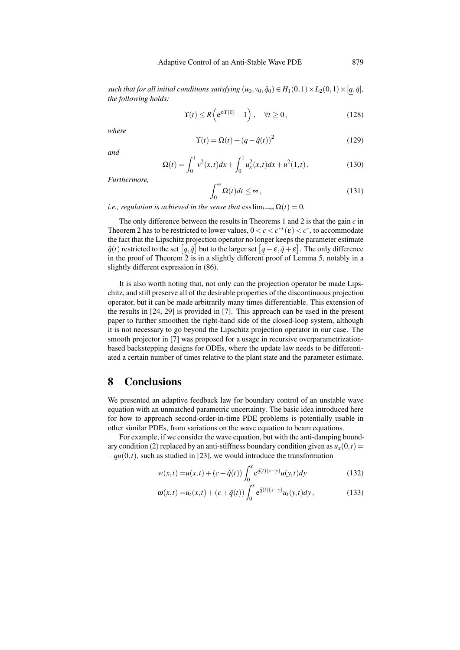*such that for all initial conditions satisfying*  $(u_0, v_0, \hat{q}_0) \in H_1(0,1) \times L_2(0,1) \times [q, \bar{q}]$ , *the following holds:*

$$
\Upsilon(t) \le R\left(e^{\rho \Upsilon(0)} - 1\right), \quad \forall t \ge 0,
$$
\n(128)

*where*

$$
\Upsilon(t) = \Omega(t) + (q - \hat{q}(t))^2
$$
\n(129)

*and*

$$
\Omega(t) = \int_0^1 v^2(x, t) dx + \int_0^1 u_x^2(x, t) dx + u^2(1, t).
$$
 (130)

*Furthermore,*

$$
\int_0^\infty \Omega(t)dt \le \infty,\tag{131}
$$

*i.e., regulation is achieved in the sense that*  $\text{ess}\lim_{t\to\infty} \Omega(t) = 0$ .

The only difference between the results in Theorems 1 and 2 is that the gain *c* in Theorem 2 has to be restricted to lower values,  $0 < c < c^{**}(\varepsilon) < c^*$ , to accommodate the fact that the Lipschitz projection operator no longer keeps the parameter estimate  $\hat{q}(t)$  restricted to the set  $\left[\underline{q}, \overline{q}\right]$  but to the larger set  $\left[\underline{q} - \varepsilon, \overline{q} + \varepsilon\right]$ . The only difference in the proof of Theorem  $\overline{2}$  is in a slightly different proof of Lemma 5, notably in a slightly different expression in (86).

It is also worth noting that, not only can the projection operator be made Lipschitz, and still preserve all of the desirable properties of the discontinuous projection operator, but it can be made arbitrarily many times differentiable. This extension of the results in [24, 29] is provided in [7]. This approach can be used in the present paper to further smoothen the right-hand side of the closed-loop system, although it is not necessary to go beyond the Lipschitz projection operator in our case. The smooth projector in [7] was proposed for a usage in recursive overparametrizationbased backstepping designs for ODEs, where the update law needs to be differentiated a certain number of times relative to the plant state and the parameter estimate.

#### 8 Conclusions

We presented an adaptive feedback law for boundary control of an unstable wave equation with an unmatched parametric uncertainty. The basic idea introduced here for how to approach second-order-in-time PDE problems is potentially usable in other similar PDEs, from variations on the wave equation to beam equations.

For example, if we consider the wave equation, but with the anti-damping boundary condition (2) replaced by an anti-stiffness boundary condition given as  $u_x(0,t)$  $-qu(0,t)$ , such as studied in [23], we would introduce the transformation

$$
w(x,t) = u(x,t) + (c + \hat{q}(t)) \int_0^x e^{\hat{q}(t)(x-y)} u(y,t) dy
$$
 (132)

$$
\omega(x,t) = u_t(x,t) + (c + \hat{q}(t)) \int_0^x e^{\hat{q}(t)(x-y)} u_t(y,t) dy,
$$
\n(133)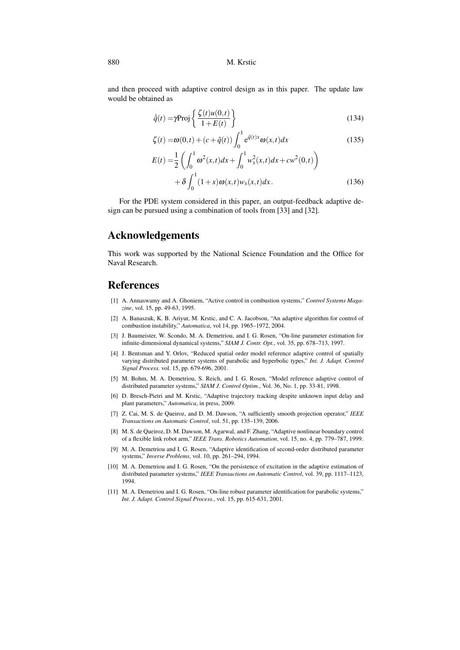and then proceed with adaptive control design as in this paper. The update law would be obtained as

$$
\dot{\hat{q}}(t) = \gamma \text{Proj}\left\{\frac{\zeta(t)u(0,t)}{1+E(t)}\right\}
$$
\n(134)

$$
\zeta(t) = \omega(0,t) + (c + \hat{q}(t)) \int_0^1 e^{\hat{q}(t)x} \omega(x,t) dx \qquad (135)
$$

$$
E(t) = \frac{1}{2} \left( \int_0^1 \omega^2(x, t) dx + \int_0^1 w_x^2(x, t) dx + cw^2(0, t) \right) + \delta \int_0^1 (1 + x) \omega(x, t) w_x(x, t) dx.
$$
 (136)

For the PDE system considered in this paper, an output-feedback adaptive design can be pursued using a combination of tools from [33] and [32].

## Acknowledgements

This work was supported by the National Science Foundation and the Office for Naval Research.

## References

- [1] A. Annaswamy and A. Ghoniem, "Active control in combustion systems," *Control Systems Magazine*, vol. 15, pp. 49-63, 1995.
- [2] A. Banaszuk, K. B. Ariyur, M. Krstic, and C. A. Jacobson, "An adaptive algorithm for control of combustion instability," *Automatica*, vol 14, pp. 1965–1972, 2004.
- [3] J. Baumeister, W. Scondo, M. A. Demetriou, and I. G. Rosen, "On-line parameter estimation for infinite-dimensional dynamical systems," *SIAM J. Contr. Opt.*, vol. 35, pp. 678–713, 1997.
- [4] J. Bentsman and Y. Orlov, "Reduced spatial order model reference adaptive control of spatially varying distributed parameter systems of parabolic and hyperbolic types," *Int. J. Adapt. Control Signal Process.* vol. 15, pp. 679-696, 2001.
- [5] M. Bohm, M. A. Demetriou, S. Reich, and I. G. Rosen, "Model reference adaptive control of distributed parameter systems," *SIAM J. Control Optim.*, Vol. 36, No. 1, pp. 33-81, 1998.
- [6] D. Bresch-Pietri and M. Krstic, "Adaptive trajectory tracking despite unknown input delay and plant parameters," *Automatica*, in press, 2009.
- [7] Z. Cai, M. S. de Queiroz, and D. M. Dawson, "A sufficiently smooth projection operator," *IEEE Transactions on Automatic Control*, vol. 51, pp. 135–139, 2006.
- [8] M. S. de Queiroz, D. M. Dawson, M. Agarwal, and F. Zhang, "Adaptive nonlinear boundary control of a flexible link robot arm," *IEEE Trans. Robotics Automation*, vol. 15, no. 4, pp. 779–787, 1999.
- [9] M. A. Demetriou and I. G. Rosen, "Adaptive identification of second-order distributed parameter systems," *Inverse Problems*, vol. 10, pp. 261–294, 1994.
- [10] M. A. Demetriou and I. G. Rosen, "On the persistence of excitation in the adaptive estimation of distributed parameter systems," *IEEE Transactions on Automatic Control*, vol. 39, pp. 1117–1123, 1994.
- [11] M. A. Demetriou and I. G. Rosen, "On-line robust parameter identification for parabolic systems," *Int. J. Adapt. Control Signal Process.*, vol. 15, pp. 615-631, 2001.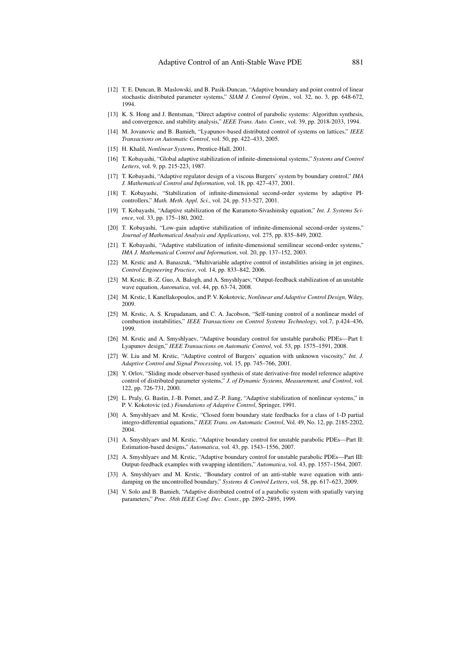- [12] T. E. Duncan, B. Maslowski, and B. Pasik-Duncan, "Adaptive boundary and point control of linear stochastic distributed parameter systems," *SIAM J. Control Optim.*, vol. 32, no. 3, pp. 648-672, 1994.
- [13] K. S. Hong and J. Bentsman, "Direct adaptive control of parabolic systems: Algorithm synthesis, and convergence, and stability analysis," *IEEE Trans. Auto. Contr.*, vol. 39, pp. 2018-2033, 1994.
- [14] M. Jovanovic and B. Bamieh, "Lyapunov-based distributed control of systems on lattices," *IEEE Transactions on Automatic Control*, vol. 50, pp. 422–433, 2005.
- [15] H. Khalil, *Nonlinear Systems*, Prentice-Hall, 2001.
- [16] T. Kobayashi, "Global adaptive stabilization of infinite-dimensional systems," *Systems and Control Letters*, vol. 9, pp. 215-223, 1987.
- [17] T. Kobayashi, "Adaptive regulator design of a viscous Burgers' system by boundary control," *IMA J. Mathematical Control and Information*, vol. 18, pp. 427–437, 2001.
- [18] T. Kobayashi, "Stabilization of infinite-dimensional second-order systems by adaptive PIcontrollers," *Math. Meth. Appl. Sci.*, vol. 24, pp. 513-527, 2001.
- [19] T. Kobayashi, "Adaptive stabilization of the Kuramoto-Sivashinsky equation," *Int. J. Systems Science*, vol. 33, pp. 175–180, 2002.
- [20] T. Kobayashi, "Low-gain adaptive stabilization of infinite-dimensional second-order systems," *Journal of Mathematical Analysis and Applications*, vol. 275, pp. 835–849, 2002.
- [21] T. Kobayashi, "Adaptive stabilization of infinite-dimensional semilinear second-order systems," *IMA J. Mathematical Control and Information*, vol. 20, pp. 137–152, 2003.
- [22] M. Krstic and A. Banaszuk, "Multivariable adaptive control of instabilities arising in jet engines, *Control Engineering Practice*, vol. 14, pp. 833–842, 2006.
- [23] M. Krstic, B.-Z. Guo, A. Balogh, and A. Smyshlyaev, "Output-feedback stabilization of an unstable wave equation, *Automatica*, vol. 44, pp. 63-74, 2008.
- [24] M. Krstic, I. Kanellakopoulos, and P. V. Kokotovic, *Nonlinear and Adaptive Control Design*, Wiley, 2009.
- [25] M. Krstic, A. S. Krupadanam, and C. A. Jacobson, "Self-tuning control of a nonlinear model of combustion instabilities," *IEEE Transactions on Control Systems Technology*, vol.7, p.424–436, 1999.
- [26] M. Krstic and A. Smyshlyaev, "Adaptive boundary control for unstable parabolic PDEs—Part I: Lyapunov design," *IEEE Transactions on Automatic Control*, vol. 53, pp. 1575–1591, 2008.
- [27] W. Liu and M. Krstic, "Adaptive control of Burgers' equation with unknown viscosity," *Int. J. Adaptive Control and Signal Processing*, vol. 15, pp. 745–766, 2001.
- [28] Y. Orlov, "Sliding mode observer-based synthesis of state derivative-free model reference adaptive control of distributed parameter systems," *J. of Dynamic Systems, Measurement, and Control*, vol. 122, pp. 726-731, 2000.
- [29] L. Praly, G. Bastin, J.-B. Pomet, and Z.-P. Jiang, "Adaptive stabilization of nonlinear systems," in P. V. Kokotovic (ed.) *Foundations of Adaptive Control*, Springer, 1991.
- [30] A. Smyshlyaev and M. Krstic, "Closed form boundary state feedbacks for a class of 1-D partial integro-differential equations," *IEEE Trans. on Automatic Control*, Vol. 49, No. 12, pp. 2185-2202, 2004.
- [31] A. Smyshlyaev and M. Krstic, "Adaptive boundary control for unstable parabolic PDEs—Part II: Estimation-based designs," *Automatica*, vol. 43, pp. 1543–1556, 2007.
- [32] A. Smyshlyaev and M. Krstic, "Adaptive boundary control for unstable parabolic PDEs—Part III: Output-feedback examples with swapping identifiers," *Automatica*, vol. 43, pp. 1557–1564, 2007.
- [33] A. Smyshlyaev and M. Krstic, "Boundary control of an anti-stable wave equation with antidamping on the uncontrolled boundary," *Systems & Control Letters*, vol. 58, pp. 617–623, 2009.
- [34] V. Solo and B. Bamieh, "Adaptive distributed control of a parabolic system with spatially varying parameters," *Proc. 38th IEEE Conf. Dec. Contr.*, pp. 2892–2895, 1999.